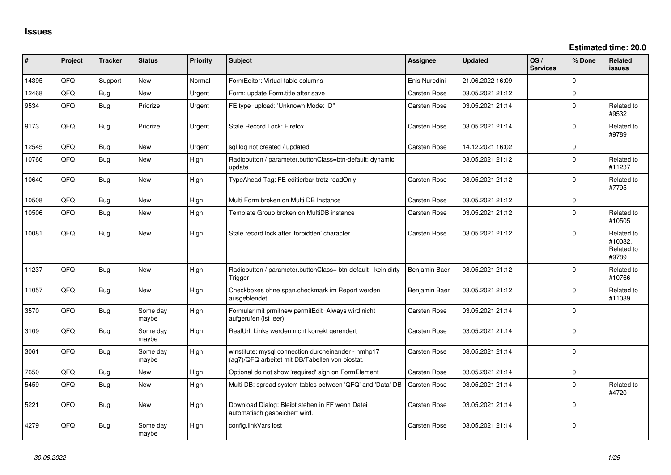| #     | Project | <b>Tracker</b> | <b>Status</b>     | <b>Priority</b> | <b>Subject</b>                                                                                         | <b>Assignee</b>     | <b>Updated</b>   | OS/<br><b>Services</b> | % Done         | Related<br><b>issues</b>                     |
|-------|---------|----------------|-------------------|-----------------|--------------------------------------------------------------------------------------------------------|---------------------|------------------|------------------------|----------------|----------------------------------------------|
| 14395 | QFQ     | Support        | <b>New</b>        | Normal          | FormEditor: Virtual table columns                                                                      | Enis Nuredini       | 21.06.2022 16:09 |                        | 0              |                                              |
| 12468 | QFQ     | Bug            | <b>New</b>        | Urgent          | Form: update Form.title after save                                                                     | <b>Carsten Rose</b> | 03.05.2021 21:12 |                        | $\overline{0}$ |                                              |
| 9534  | QFQ     | <b>Bug</b>     | Priorize          | Urgent          | FE.type=upload: 'Unknown Mode: ID"                                                                     | <b>Carsten Rose</b> | 03.05.2021 21:14 |                        | $\Omega$       | Related to<br>#9532                          |
| 9173  | QFQ     | <b>Bug</b>     | Priorize          | Urgent          | Stale Record Lock: Firefox                                                                             | <b>Carsten Rose</b> | 03.05.2021 21:14 |                        | $\Omega$       | Related to<br>#9789                          |
| 12545 | QFQ     | Bug            | <b>New</b>        | Urgent          | sql.log not created / updated                                                                          | Carsten Rose        | 14.12.2021 16:02 |                        | $\Omega$       |                                              |
| 10766 | QFQ     | Bug            | <b>New</b>        | High            | Radiobutton / parameter.buttonClass=btn-default: dynamic<br>update                                     |                     | 03.05.2021 21:12 |                        | $\Omega$       | Related to<br>#11237                         |
| 10640 | QFQ     | Bug            | <b>New</b>        | High            | TypeAhead Tag: FE editierbar trotz readOnly                                                            | <b>Carsten Rose</b> | 03.05.2021 21:12 |                        | 0              | Related to<br>#7795                          |
| 10508 | QFQ     | Bug            | <b>New</b>        | High            | Multi Form broken on Multi DB Instance                                                                 | <b>Carsten Rose</b> | 03.05.2021 21:12 |                        | 0              |                                              |
| 10506 | QFQ     | <b>Bug</b>     | New               | High            | Template Group broken on MultiDB instance                                                              | Carsten Rose        | 03.05.2021 21:12 |                        | $\Omega$       | Related to<br>#10505                         |
| 10081 | QFQ     | <b>Bug</b>     | <b>New</b>        | High            | Stale record lock after 'forbidden' character                                                          | <b>Carsten Rose</b> | 03.05.2021 21:12 |                        | 0              | Related to<br>#10082,<br>Related to<br>#9789 |
| 11237 | QFQ     | <b>Bug</b>     | <b>New</b>        | High            | Radiobutton / parameter.buttonClass= btn-default - kein dirty<br>Trigger                               | Benjamin Baer       | 03.05.2021 21:12 |                        | 0              | Related to<br>#10766                         |
| 11057 | QFQ     | <b>Bug</b>     | New               | High            | Checkboxes ohne span.checkmark im Report werden<br>ausgeblendet                                        | Benjamin Baer       | 03.05.2021 21:12 |                        | 0              | Related to<br>#11039                         |
| 3570  | QFQ     | <b>Bug</b>     | Some day<br>maybe | High            | Formular mit prmitnew permitEdit=Always wird nicht<br>aufgerufen (ist leer)                            | <b>Carsten Rose</b> | 03.05.2021 21:14 |                        | 0              |                                              |
| 3109  | QFQ     | <b>Bug</b>     | Some day<br>maybe | High            | RealUrl: Links werden nicht korrekt gerendert                                                          | Carsten Rose        | 03.05.2021 21:14 |                        | 0              |                                              |
| 3061  | QFQ     | <b>Bug</b>     | Some day<br>maybe | High            | winstitute: mysql connection durcheinander - nmhp17<br>(ag7)/QFQ arbeitet mit DB/Tabellen von biostat. | <b>Carsten Rose</b> | 03.05.2021 21:14 |                        | $\overline{0}$ |                                              |
| 7650  | QFQ     | Bug            | <b>New</b>        | High            | Optional do not show 'required' sign on FormElement                                                    | <b>Carsten Rose</b> | 03.05.2021 21:14 |                        | 0              |                                              |
| 5459  | QFQ     | <b>Bug</b>     | New               | High            | Multi DB: spread system tables between 'QFQ' and 'Data'-DB                                             | <b>Carsten Rose</b> | 03.05.2021 21:14 |                        | 0              | Related to<br>#4720                          |
| 5221  | QFQ     | <b>Bug</b>     | New               | High            | Download Dialog: Bleibt stehen in FF wenn Datei<br>automatisch gespeichert wird.                       | Carsten Rose        | 03.05.2021 21:14 |                        | $\mathbf{0}$   |                                              |
| 4279  | QFQ     | <b>Bug</b>     | Some day<br>maybe | High            | config.linkVars lost                                                                                   | Carsten Rose        | 03.05.2021 21:14 |                        | 0              |                                              |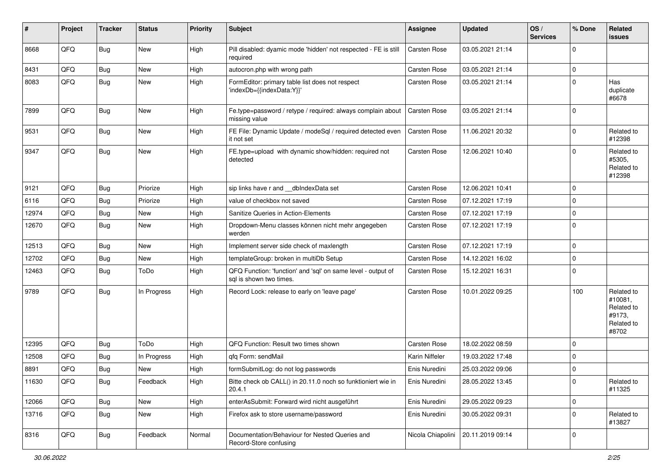| #     | Project | <b>Tracker</b> | <b>Status</b> | <b>Priority</b> | <b>Subject</b>                                                                          | <b>Assignee</b>     | <b>Updated</b>   | OS/<br><b>Services</b> | % Done      | <b>Related</b><br>issues                                             |
|-------|---------|----------------|---------------|-----------------|-----------------------------------------------------------------------------------------|---------------------|------------------|------------------------|-------------|----------------------------------------------------------------------|
| 8668  | QFQ     | Bug            | New           | High            | Pill disabled: dyamic mode 'hidden' not respected - FE is still<br>required             | <b>Carsten Rose</b> | 03.05.2021 21:14 |                        | $\Omega$    |                                                                      |
| 8431  | QFQ     | <b>Bug</b>     | New           | High            | autocron.php with wrong path                                                            | <b>Carsten Rose</b> | 03.05.2021 21:14 |                        | 0           |                                                                      |
| 8083  | QFQ     | <b>Bug</b>     | New           | High            | FormEditor: primary table list does not respect<br>'indexDb={{indexData:Y}}'            | Carsten Rose        | 03.05.2021 21:14 |                        | $\Omega$    | Has<br>duplicate<br>#6678                                            |
| 7899  | QFQ     | Bug            | New           | High            | Fe.type=password / retype / required: always complain about<br>missing value            | Carsten Rose        | 03.05.2021 21:14 |                        | $\Omega$    |                                                                      |
| 9531  | QFQ     | Bug            | New           | High            | FE File: Dynamic Update / modeSql / required detected even<br>it not set                | <b>Carsten Rose</b> | 11.06.2021 20:32 |                        | $\Omega$    | Related to<br>#12398                                                 |
| 9347  | QFQ     | <b>Bug</b>     | New           | High            | FE.type=upload with dynamic show/hidden: required not<br>detected                       | Carsten Rose        | 12.06.2021 10:40 |                        | $\Omega$    | Related to<br>#5305,<br>Related to<br>#12398                         |
| 9121  | QFQ     | <b>Bug</b>     | Priorize      | High            | sip links have r and dblndexData set                                                    | <b>Carsten Rose</b> | 12.06.2021 10:41 |                        | $\mathbf 0$ |                                                                      |
| 6116  | QFQ     | <b>Bug</b>     | Priorize      | High            | value of checkbox not saved                                                             | Carsten Rose        | 07.12.2021 17:19 |                        | $\Omega$    |                                                                      |
| 12974 | QFQ     | <b>Bug</b>     | New           | High            | Sanitize Queries in Action-Elements                                                     | <b>Carsten Rose</b> | 07.12.2021 17:19 |                        | 0           |                                                                      |
| 12670 | QFQ     | <b>Bug</b>     | New           | High            | Dropdown-Menu classes können nicht mehr angegeben<br>werden                             | Carsten Rose        | 07.12.2021 17:19 |                        | l 0         |                                                                      |
| 12513 | QFQ     | <b>Bug</b>     | New           | High            | Implement server side check of maxlength                                                | <b>Carsten Rose</b> | 07.12.2021 17:19 |                        | 0           |                                                                      |
| 12702 | QFQ     | <b>Bug</b>     | New           | High            | templateGroup: broken in multiDb Setup                                                  | Carsten Rose        | 14.12.2021 16:02 |                        | $\Omega$    |                                                                      |
| 12463 | QFQ     | <b>Bug</b>     | ToDo          | High            | QFQ Function: 'function' and 'sql' on same level - output of<br>sql is shown two times. | Carsten Rose        | 15.12.2021 16:31 |                        | $\mathbf 0$ |                                                                      |
| 9789  | QFQ     | <b>Bug</b>     | In Progress   | High            | Record Lock: release to early on 'leave page'                                           | Carsten Rose        | 10.01.2022 09:25 |                        | 100         | Related to<br>#10081,<br>Related to<br>#9173.<br>Related to<br>#8702 |
| 12395 | QFQ     | Bug            | ToDo          | High            | QFQ Function: Result two times shown                                                    | Carsten Rose        | 18.02.2022 08:59 |                        | $\Omega$    |                                                                      |
| 12508 | QFQ     | <b>Bug</b>     | In Progress   | High            | qfq Form: sendMail                                                                      | Karin Niffeler      | 19.03.2022 17:48 |                        | 0           |                                                                      |
| 8891  | QFQ     | Bug            | New           | High            | formSubmitLog: do not log passwords                                                     | Enis Nuredini       | 25.03.2022 09:06 |                        | 0           |                                                                      |
| 11630 | QFG     | Bug            | Feedback      | High            | Bitte check ob CALL() in 20.11.0 noch so funktioniert wie in<br>20.4.1                  | Enis Nuredini       | 28.05.2022 13:45 |                        | 0           | Related to<br>#11325                                                 |
| 12066 | QFQ     | <b>Bug</b>     | New           | High            | enterAsSubmit: Forward wird nicht ausgeführt                                            | Enis Nuredini       | 29.05.2022 09:23 |                        | 0           |                                                                      |
| 13716 | QFQ     | Bug            | New           | High            | Firefox ask to store username/password                                                  | Enis Nuredini       | 30.05.2022 09:31 |                        | 0           | Related to<br>#13827                                                 |
| 8316  | QFQ     | <b>Bug</b>     | Feedback      | Normal          | Documentation/Behaviour for Nested Queries and<br>Record-Store confusing                | Nicola Chiapolini   | 20.11.2019 09:14 |                        | $\mathbf 0$ |                                                                      |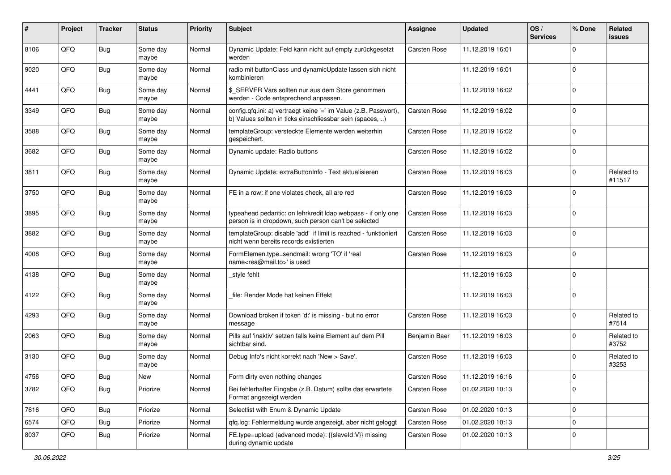| #    | Project | <b>Tracker</b> | <b>Status</b>     | <b>Priority</b> | <b>Subject</b>                                                                                                                | <b>Assignee</b>     | <b>Updated</b>   | OS/<br><b>Services</b> | % Done      | Related<br>issues    |
|------|---------|----------------|-------------------|-----------------|-------------------------------------------------------------------------------------------------------------------------------|---------------------|------------------|------------------------|-------------|----------------------|
| 8106 | QFQ     | Bug            | Some day<br>maybe | Normal          | Dynamic Update: Feld kann nicht auf empty zurückgesetzt<br>werden                                                             | Carsten Rose        | 11.12.2019 16:01 |                        | $\mathbf 0$ |                      |
| 9020 | QFQ     | <b>Bug</b>     | Some day<br>maybe | Normal          | radio mit buttonClass und dynamicUpdate lassen sich nicht<br>kombinieren                                                      |                     | 11.12.2019 16:01 |                        | $\mathbf 0$ |                      |
| 4441 | QFQ     | <b>Bug</b>     | Some day<br>maybe | Normal          | \$_SERVER Vars sollten nur aus dem Store genommen<br>werden - Code entsprechend anpassen.                                     |                     | 11.12.2019 16:02 |                        | $\mathbf 0$ |                      |
| 3349 | QFQ     | <b>Bug</b>     | Some day<br>maybe | Normal          | config.qfq.ini: a) vertraegt keine '=' im Value (z.B. Passwort),<br>b) Values sollten in ticks einschliessbar sein (spaces, ) | Carsten Rose        | 11.12.2019 16:02 |                        | $\mathbf 0$ |                      |
| 3588 | QFQ     | <b>Bug</b>     | Some day<br>maybe | Normal          | templateGroup: versteckte Elemente werden weiterhin<br>gespeichert.                                                           | <b>Carsten Rose</b> | 11.12.2019 16:02 |                        | $\mathbf 0$ |                      |
| 3682 | QFQ     | <b>Bug</b>     | Some day<br>maybe | Normal          | Dynamic update: Radio buttons                                                                                                 | Carsten Rose        | 11.12.2019 16:02 |                        | $\mathbf 0$ |                      |
| 3811 | QFQ     | <b>Bug</b>     | Some day<br>maybe | Normal          | Dynamic Update: extraButtonInfo - Text aktualisieren                                                                          | Carsten Rose        | 11.12.2019 16:03 |                        | $\mathbf 0$ | Related to<br>#11517 |
| 3750 | QFQ     | <b>Bug</b>     | Some day<br>maybe | Normal          | FE in a row: if one violates check, all are red                                                                               | <b>Carsten Rose</b> | 11.12.2019 16:03 |                        | $\mathbf 0$ |                      |
| 3895 | QFQ     | <b>Bug</b>     | Some day<br>maybe | Normal          | typeahead pedantic: on lehrkredit Idap webpass - if only one<br>person is in dropdown, such person can't be selected          | <b>Carsten Rose</b> | 11.12.2019 16:03 |                        | $\mathbf 0$ |                      |
| 3882 | QFQ     | <b>Bug</b>     | Some day<br>maybe | Normal          | templateGroup: disable 'add' if limit is reached - funktioniert<br>nicht wenn bereits records existierten                     | Carsten Rose        | 11.12.2019 16:03 |                        | $\mathbf 0$ |                      |
| 4008 | QFQ     | <b>Bug</b>     | Some day<br>maybe | Normal          | FormElemen.type=sendmail: wrong 'TO' if 'real<br>name <rea@mail.to>' is used</rea@mail.to>                                    | Carsten Rose        | 11.12.2019 16:03 |                        | $\mathbf 0$ |                      |
| 4138 | QFQ     | Bug            | Some day<br>maybe | Normal          | _style fehlt                                                                                                                  |                     | 11.12.2019 16:03 |                        | $\mathbf 0$ |                      |
| 4122 | QFQ     | <b>Bug</b>     | Some day<br>maybe | Normal          | file: Render Mode hat keinen Effekt                                                                                           |                     | 11.12.2019 16:03 |                        | $\mathbf 0$ |                      |
| 4293 | QFQ     | <b>Bug</b>     | Some day<br>maybe | Normal          | Download broken if token 'd:' is missing - but no error<br>message                                                            | Carsten Rose        | 11.12.2019 16:03 |                        | $\mathbf 0$ | Related to<br>#7514  |
| 2063 | QFQ     | <b>Bug</b>     | Some day<br>maybe | Normal          | Pills auf 'inaktiv' setzen falls keine Element auf dem Pill<br>sichtbar sind.                                                 | Benjamin Baer       | 11.12.2019 16:03 |                        | $\mathbf 0$ | Related to<br>#3752  |
| 3130 | QFQ     | Bug            | Some day<br>maybe | Normal          | Debug Info's nicht korrekt nach 'New > Save'.                                                                                 | Carsten Rose        | 11.12.2019 16:03 |                        | $\mathbf 0$ | Related to<br>#3253  |
| 4756 | QFQ     | Bug            | New               | Normal          | Form dirty even nothing changes                                                                                               | <b>Carsten Rose</b> | 11.12.2019 16:16 |                        | 0           |                      |
| 3782 | QFQ     | <b>Bug</b>     | Priorize          | Normal          | Bei fehlerhafter Eingabe (z.B. Datum) sollte das erwartete<br>Format angezeigt werden                                         | Carsten Rose        | 01.02.2020 10:13 |                        | 0           |                      |
| 7616 | QFQ     | <b>Bug</b>     | Priorize          | Normal          | Selectlist with Enum & Dynamic Update                                                                                         | Carsten Rose        | 01.02.2020 10:13 |                        | 0           |                      |
| 6574 | QFQ     | <b>Bug</b>     | Priorize          | Normal          | qfq.log: Fehlermeldung wurde angezeigt, aber nicht geloggt                                                                    | Carsten Rose        | 01.02.2020 10:13 |                        | 0           |                      |
| 8037 | QFQ     | <b>Bug</b>     | Priorize          | Normal          | FE.type=upload (advanced mode): {{slaveId:V}} missing<br>during dynamic update                                                | Carsten Rose        | 01.02.2020 10:13 |                        | 0           |                      |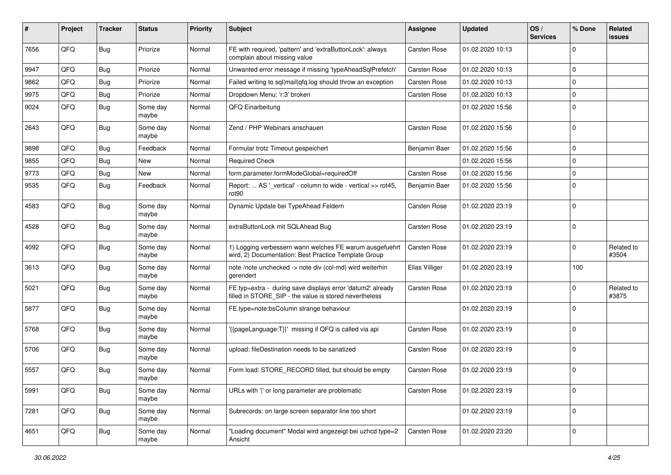| ∦    | Project | <b>Tracker</b> | <b>Status</b>     | <b>Priority</b> | <b>Subject</b>                                                                                                       | Assignee            | <b>Updated</b>   | OS/<br><b>Services</b> | % Done      | Related<br>issues   |
|------|---------|----------------|-------------------|-----------------|----------------------------------------------------------------------------------------------------------------------|---------------------|------------------|------------------------|-------------|---------------------|
| 7656 | QFQ     | Bug            | Priorize          | Normal          | FE with required, 'pattern' and 'extraButtonLock': always<br>complain about missing value                            | Carsten Rose        | 01.02.2020 10:13 |                        | $\mathbf 0$ |                     |
| 9947 | QFQ     | <b>Bug</b>     | Priorize          | Normal          | Unwanted error message if missing 'typeAheadSqlPrefetch'                                                             | Carsten Rose        | 01.02.2020 10:13 |                        | $\mathbf 0$ |                     |
| 9862 | QFQ     | Bug            | Priorize          | Normal          | Failed writing to sql mail qfq.log should throw an exception                                                         | Carsten Rose        | 01.02.2020 10:13 |                        | $\mathbf 0$ |                     |
| 9975 | QFQ     | Bug            | Priorize          | Normal          | Dropdown Menu: 'r:3' broken                                                                                          | Carsten Rose        | 01.02.2020 10:13 |                        | $\mathbf 0$ |                     |
| 9024 | QFQ     | <b>Bug</b>     | Some day<br>maybe | Normal          | QFQ Einarbeitung                                                                                                     |                     | 01.02.2020 15:56 |                        | $\Omega$    |                     |
| 2643 | QFQ     | Bug            | Some day<br>maybe | Normal          | Zend / PHP Webinars anschauen                                                                                        | <b>Carsten Rose</b> | 01.02.2020 15:56 |                        | $\mathbf 0$ |                     |
| 9898 | QFQ     | Bug            | Feedback          | Normal          | Formular trotz Timeout gespeichert                                                                                   | Benjamin Baer       | 01.02.2020 15:56 |                        | $\mathbf 0$ |                     |
| 9855 | QFQ     | <b>Bug</b>     | <b>New</b>        | Normal          | <b>Required Check</b>                                                                                                |                     | 01.02.2020 15:56 |                        | $\mathbf 0$ |                     |
| 9773 | QFQ     | Bug            | <b>New</b>        | Normal          | form.parameter.formModeGlobal=requiredOff                                                                            | <b>Carsten Rose</b> | 01.02.2020 15:56 |                        | $\mathbf 0$ |                     |
| 9535 | QFQ     | Bug            | Feedback          | Normal          | Report:  AS '_vertical' - column to wide - vertical >> rot45,<br>rot90                                               | Benjamin Baer       | 01.02.2020 15:56 |                        | $\Omega$    |                     |
| 4583 | QFQ     | Bug            | Some day<br>maybe | Normal          | Dynamic Update bei TypeAhead Feldern                                                                                 | Carsten Rose        | 01.02.2020 23:19 |                        | $\mathbf 0$ |                     |
| 4528 | QFQ     | <b>Bug</b>     | Some day<br>maybe | Normal          | extraButtonLock mit SQLAhead Bug                                                                                     | Carsten Rose        | 01.02.2020 23:19 |                        | $\Omega$    |                     |
| 4092 | QFQ     | <b>Bug</b>     | Some day<br>maybe | Normal          | 1) Logging verbessern wann welches FE warum ausgefuehrt<br>wird, 2) Documentation: Best Practice Template Group      | <b>Carsten Rose</b> | 01.02.2020 23:19 |                        | $\Omega$    | Related to<br>#3504 |
| 3613 | QFQ     | Bug            | Some day<br>maybe | Normal          | note /note unchecked -> note div (col-md) wird weiterhin<br>gerendert                                                | Elias Villiger      | 01.02.2020 23:19 |                        | 100         |                     |
| 5021 | QFQ     | Bug            | Some day<br>maybe | Normal          | FE.typ=extra - during save displays error 'datum2' already<br>filled in STORE_SIP - the value is stored nevertheless | Carsten Rose        | 01.02.2020 23:19 |                        | $\mathbf 0$ | Related to<br>#3875 |
| 5877 | QFQ     | <b>Bug</b>     | Some day<br>maybe | Normal          | FE.type=note:bsColumn strange behaviour                                                                              |                     | 01.02.2020 23:19 |                        | $\mathbf 0$ |                     |
| 5768 | QFQ     | <b>Bug</b>     | Some day<br>maybe | Normal          | {{pageLanguage:T}}' missing if QFQ is called via api                                                                 | Carsten Rose        | 01.02.2020 23:19 |                        | $\Omega$    |                     |
| 5706 | QFQ     | Bug            | Some day<br>maybe | Normal          | upload: fileDestination needs to be sanatized                                                                        | Carsten Rose        | 01.02.2020 23:19 |                        | $\mathbf 0$ |                     |
| 5557 | QFQ     | Bug            | Some day<br>maybe | Normal          | Form load: STORE_RECORD filled, but should be empty                                                                  | Carsten Rose        | 01.02.2020 23:19 |                        | $\mathbf 0$ |                     |
| 5991 | QFQ     | <b>Bug</b>     | Some day<br>maybe | Normal          | URLs with ' ' or long parameter are problematic                                                                      | Carsten Rose        | 01.02.2020 23:19 |                        | 0           |                     |
| 7281 | QFQ     | <b>Bug</b>     | Some day<br>maybe | Normal          | Subrecords: on large screen separator line too short                                                                 |                     | 01.02.2020 23:19 |                        | $\mathbf 0$ |                     |
| 4651 | QFQ     | <b>Bug</b>     | Some day<br>maybe | Normal          | "Loading document" Modal wird angezeigt bei uzhcd type=2<br>Ansicht                                                  | Carsten Rose        | 01.02.2020 23:20 |                        | 0           |                     |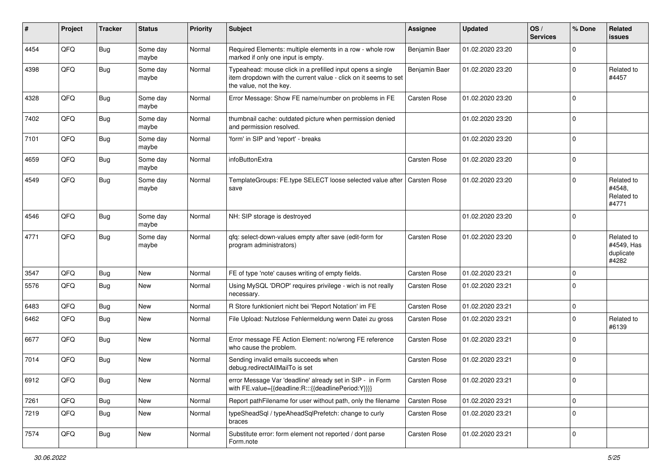| #    | Project | <b>Tracker</b> | <b>Status</b>     | <b>Priority</b> | Subject                                                                                                                                                  | Assignee            | <b>Updated</b>   | OS/<br><b>Services</b> | % Done      | Related<br>issues                              |
|------|---------|----------------|-------------------|-----------------|----------------------------------------------------------------------------------------------------------------------------------------------------------|---------------------|------------------|------------------------|-------------|------------------------------------------------|
| 4454 | QFQ     | <b>Bug</b>     | Some day<br>maybe | Normal          | Required Elements: multiple elements in a row - whole row<br>marked if only one input is empty.                                                          | Benjamin Baer       | 01.02.2020 23:20 |                        | $\mathbf 0$ |                                                |
| 4398 | QFQ     | <b>Bug</b>     | Some day<br>maybe | Normal          | Typeahead: mouse click in a prefilled input opens a single<br>item dropdown with the current value - click on it seems to set<br>the value, not the key. | Benjamin Baer       | 01.02.2020 23:20 |                        | $\mathbf 0$ | Related to<br>#4457                            |
| 4328 | QFQ     | Bug            | Some day<br>maybe | Normal          | Error Message: Show FE name/number on problems in FE                                                                                                     | Carsten Rose        | 01.02.2020 23:20 |                        | $\mathbf 0$ |                                                |
| 7402 | QFQ     | <b>Bug</b>     | Some day<br>maybe | Normal          | thumbnail cache: outdated picture when permission denied<br>and permission resolved.                                                                     |                     | 01.02.2020 23:20 |                        | $\mathbf 0$ |                                                |
| 7101 | QFQ     | <b>Bug</b>     | Some day<br>maybe | Normal          | 'form' in SIP and 'report' - breaks                                                                                                                      |                     | 01.02.2020 23:20 |                        | $\mathbf 0$ |                                                |
| 4659 | QFQ     | <b>Bug</b>     | Some day<br>maybe | Normal          | infoButtonExtra                                                                                                                                          | <b>Carsten Rose</b> | 01.02.2020 23:20 |                        | $\mathbf 0$ |                                                |
| 4549 | QFQ     | <b>Bug</b>     | Some day<br>maybe | Normal          | TemplateGroups: FE.type SELECT loose selected value after   Carsten Rose<br>save                                                                         |                     | 01.02.2020 23:20 |                        | $\mathbf 0$ | Related to<br>#4548,<br>Related to<br>#4771    |
| 4546 | QFQ     | Bug            | Some day<br>maybe | Normal          | NH: SIP storage is destroyed                                                                                                                             |                     | 01.02.2020 23:20 |                        | $\mathbf 0$ |                                                |
| 4771 | QFQ     | <b>Bug</b>     | Some day<br>maybe | Normal          | qfq: select-down-values empty after save (edit-form for<br>program administrators)                                                                       | <b>Carsten Rose</b> | 01.02.2020 23:20 |                        | $\mathbf 0$ | Related to<br>#4549, Has<br>duplicate<br>#4282 |
| 3547 | QFQ     | Bug            | <b>New</b>        | Normal          | FE of type 'note' causes writing of empty fields.                                                                                                        | <b>Carsten Rose</b> | 01.02.2020 23:21 |                        | $\mathbf 0$ |                                                |
| 5576 | QFQ     | Bug            | New               | Normal          | Using MySQL 'DROP' requires privilege - wich is not really<br>necessary.                                                                                 | <b>Carsten Rose</b> | 01.02.2020 23:21 |                        | $\mathbf 0$ |                                                |
| 6483 | QFQ     | Bug            | New               | Normal          | R Store funktioniert nicht bei 'Report Notation' im FE                                                                                                   | Carsten Rose        | 01.02.2020 23:21 |                        | 0           |                                                |
| 6462 | QFQ     | Bug            | New               | Normal          | File Upload: Nutzlose Fehlermeldung wenn Datei zu gross                                                                                                  | Carsten Rose        | 01.02.2020 23:21 |                        | $\mathbf 0$ | Related to<br>#6139                            |
| 6677 | QFQ     | Bug            | New               | Normal          | Error message FE Action Element: no/wrong FE reference<br>who cause the problem.                                                                         | <b>Carsten Rose</b> | 01.02.2020 23:21 |                        | $\Omega$    |                                                |
| 7014 | QFQ     | <b>Bug</b>     | New               | Normal          | Sending invalid emails succeeds when<br>debug.redirectAllMailTo is set                                                                                   | Carsten Rose        | 01.02.2020 23:21 |                        | $\mathbf 0$ |                                                |
| 6912 | QFQ     | <b>Bug</b>     | New               | Normal          | error Message Var 'deadline' already set in SIP - in Form<br>with FE.value={{deadline:R:::{{deadlinePeriod:Y}}}}                                         | Carsten Rose        | 01.02.2020 23:21 |                        |             |                                                |
| 7261 | QFQ     | <b>Bug</b>     | New               | Normal          | Report pathFilename for user without path, only the filename                                                                                             | Carsten Rose        | 01.02.2020 23:21 |                        | $\mathbf 0$ |                                                |
| 7219 | QFQ     | <b>Bug</b>     | New               | Normal          | typeSheadSql / typeAheadSqlPrefetch: change to curly<br>braces                                                                                           | Carsten Rose        | 01.02.2020 23:21 |                        | 0           |                                                |
| 7574 | QFQ     | <b>Bug</b>     | New               | Normal          | Substitute error: form element not reported / dont parse<br>Form.note                                                                                    | Carsten Rose        | 01.02.2020 23:21 |                        | 0           |                                                |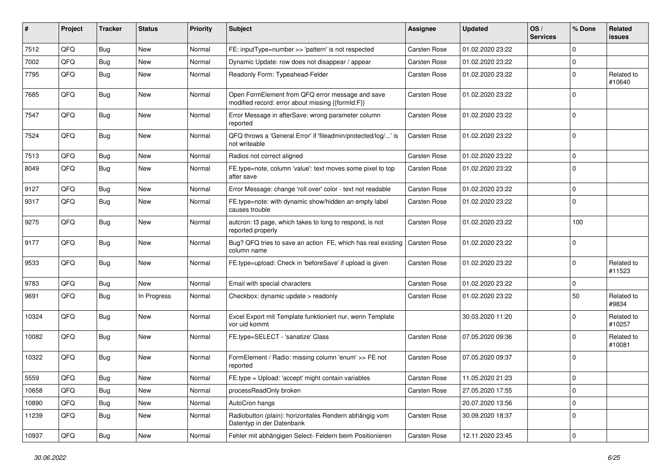| #     | Project | <b>Tracker</b> | <b>Status</b> | <b>Priority</b> | Subject                                                                                               | Assignee            | <b>Updated</b>   | OS/<br><b>Services</b> | % Done      | Related<br>issues    |
|-------|---------|----------------|---------------|-----------------|-------------------------------------------------------------------------------------------------------|---------------------|------------------|------------------------|-------------|----------------------|
| 7512  | QFQ     | Bug            | New           | Normal          | FE: inputType=number >> 'pattern' is not respected                                                    | <b>Carsten Rose</b> | 01.02.2020 23:22 |                        | $\mathbf 0$ |                      |
| 7002  | QFQ     | Bug            | New           | Normal          | Dynamic Update: row does not disappear / appear                                                       | <b>Carsten Rose</b> | 01.02.2020 23:22 |                        | $\mathbf 0$ |                      |
| 7795  | QFQ     | Bug            | New           | Normal          | Readonly Form: Typeahead-Felder                                                                       | Carsten Rose        | 01.02.2020 23:22 |                        | $\mathbf 0$ | Related to<br>#10640 |
| 7685  | QFQ     | Bug            | New           | Normal          | Open FormElement from QFQ error message and save<br>modified record: error about missing {{formId:F}} | <b>Carsten Rose</b> | 01.02.2020 23:22 |                        | $\Omega$    |                      |
| 7547  | QFQ     | Bug            | New           | Normal          | Error Message in afterSave: wrong parameter column<br>reported                                        | <b>Carsten Rose</b> | 01.02.2020 23:22 |                        | $\mathbf 0$ |                      |
| 7524  | QFQ     | Bug            | New           | Normal          | QFQ throws a 'General Error' if 'fileadmin/protected/log/' is<br>not writeable                        | Carsten Rose        | 01.02.2020 23:22 |                        | $\mathbf 0$ |                      |
| 7513  | QFQ     | Bug            | <b>New</b>    | Normal          | Radios not correct aligned                                                                            | Carsten Rose        | 01.02.2020 23:22 |                        | 0           |                      |
| 8049  | QFQ     | <b>Bug</b>     | New           | Normal          | FE.type=note, column 'value': text moves some pixel to top<br>after save                              | Carsten Rose        | 01.02.2020 23:22 |                        | $\mathbf 0$ |                      |
| 9127  | QFQ     | Bug            | New           | Normal          | Error Message: change 'roll over' color - text not readable                                           | <b>Carsten Rose</b> | 01.02.2020 23:22 |                        | $\mathbf 0$ |                      |
| 9317  | QFQ     | Bug            | <b>New</b>    | Normal          | FE.type=note: with dynamic show/hidden an empty label<br>causes trouble                               | Carsten Rose        | 01.02.2020 23:22 |                        | $\mathbf 0$ |                      |
| 9275  | QFQ     | <b>Bug</b>     | New           | Normal          | autcron: t3 page, which takes to long to respond, is not<br>reported properly                         | Carsten Rose        | 01.02.2020 23:22 |                        | 100         |                      |
| 9177  | QFQ     | <b>Bug</b>     | New           | Normal          | Bug? QFQ tries to save an action FE, which has real existing<br>column name                           | <b>Carsten Rose</b> | 01.02.2020 23:22 |                        | $\mathbf 0$ |                      |
| 9533  | QFQ     | Bug            | New           | Normal          | FE.type=upload: Check in 'beforeSave' if upload is given                                              | Carsten Rose        | 01.02.2020 23:22 |                        | 0           | Related to<br>#11523 |
| 9783  | QFQ     | Bug            | New           | Normal          | Email with special characters                                                                         | Carsten Rose        | 01.02.2020 23:22 |                        | $\mathbf 0$ |                      |
| 9691  | QFQ     | Bug            | In Progress   | Normal          | Checkbox: dynamic update > readonly                                                                   | <b>Carsten Rose</b> | 01.02.2020 23:22 |                        | 50          | Related to<br>#9834  |
| 10324 | QFQ     | Bug            | <b>New</b>    | Normal          | Excel Export mit Template funktioniert nur, wenn Template<br>vor uid kommt                            |                     | 30.03.2020 11:20 |                        | $\mathbf 0$ | Related to<br>#10257 |
| 10082 | QFQ     | <b>Bug</b>     | New           | Normal          | FE.type=SELECT - 'sanatize' Class                                                                     | Carsten Rose        | 07.05.2020 09:36 |                        | $\mathbf 0$ | Related to<br>#10081 |
| 10322 | QFQ     | <b>Bug</b>     | New           | Normal          | FormElement / Radio: missing column 'enum' >> FE not<br>reported                                      | <b>Carsten Rose</b> | 07.05.2020 09:37 |                        | 0           |                      |
| 5559  | QFQ     | Bug            | New           | Normal          | FE.type = Upload: 'accept' might contain variables                                                    | Carsten Rose        | 11.05.2020 21:23 |                        | 0           |                      |
| 10658 | QFQ     | <b>Bug</b>     | New           | Normal          | processReadOnly broken                                                                                | Carsten Rose        | 27.05.2020 17:55 |                        | $\mathbf 0$ |                      |
| 10890 | QFQ     | <b>Bug</b>     | New           | Normal          | AutoCron hangs                                                                                        |                     | 20.07.2020 13:56 |                        | 0           |                      |
| 11239 | QFQ     | <b>Bug</b>     | New           | Normal          | Radiobutton (plain): horizontales Rendern abhängig vom<br>Datentyp in der Datenbank                   | Carsten Rose        | 30.09.2020 18:37 |                        | $\mathbf 0$ |                      |
| 10937 | QFQ     | Bug            | New           | Normal          | Fehler mit abhängigen Select- Feldern beim Positionieren                                              | Carsten Rose        | 12.11.2020 23:45 |                        | 0           |                      |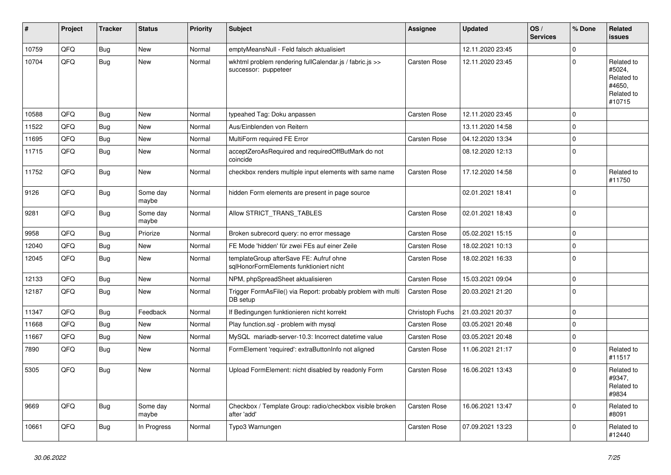| #     | Project | Tracker    | <b>Status</b>     | <b>Priority</b> | <b>Subject</b>                                                                     | Assignee            | <b>Updated</b>   | OS/<br><b>Services</b> | % Done         | <b>Related</b><br><b>issues</b>                                      |
|-------|---------|------------|-------------------|-----------------|------------------------------------------------------------------------------------|---------------------|------------------|------------------------|----------------|----------------------------------------------------------------------|
| 10759 | QFQ     | Bug        | New               | Normal          | emptyMeansNull - Feld falsch aktualisiert                                          |                     | 12.11.2020 23:45 |                        | $\Omega$       |                                                                      |
| 10704 | QFQ     | Bug        | New               | Normal          | wkhtml problem rendering fullCalendar.js / fabric.js >><br>successor: puppeteer    | Carsten Rose        | 12.11.2020 23:45 |                        | $\Omega$       | Related to<br>#5024,<br>Related to<br>#4650,<br>Related to<br>#10715 |
| 10588 | QFQ     | <b>Bug</b> | New               | Normal          | typeahed Tag: Doku anpassen                                                        | <b>Carsten Rose</b> | 12.11.2020 23:45 |                        | l 0            |                                                                      |
| 11522 | QFQ     | <b>Bug</b> | <b>New</b>        | Normal          | Aus/Einblenden von Reitern                                                         |                     | 13.11.2020 14:58 |                        | $\Omega$       |                                                                      |
| 11695 | QFQ     | <b>Bug</b> | New               | Normal          | MultiForm required FE Error                                                        | <b>Carsten Rose</b> | 04.12.2020 13:34 |                        | $\Omega$       |                                                                      |
| 11715 | QFQ     | <b>Bug</b> | New               | Normal          | acceptZeroAsRequired and requiredOffButMark do not<br>coincide                     |                     | 08.12.2020 12:13 |                        | $\Omega$       |                                                                      |
| 11752 | QFQ     | Bug        | <b>New</b>        | Normal          | checkbox renders multiple input elements with same name                            | Carsten Rose        | 17.12.2020 14:58 |                        | l 0            | Related to<br>#11750                                                 |
| 9126  | QFQ     | <b>Bug</b> | Some day<br>maybe | Normal          | hidden Form elements are present in page source                                    |                     | 02.01.2021 18:41 |                        | 0              |                                                                      |
| 9281  | QFQ     | <b>Bug</b> | Some day<br>maybe | Normal          | Allow STRICT TRANS TABLES                                                          | Carsten Rose        | 02.01.2021 18:43 |                        | $\Omega$       |                                                                      |
| 9958  | QFQ     | <b>Bug</b> | Priorize          | Normal          | Broken subrecord query: no error message                                           | Carsten Rose        | 05.02.2021 15:15 |                        | $\overline{0}$ |                                                                      |
| 12040 | QFQ     | <b>Bug</b> | <b>New</b>        | Normal          | FE Mode 'hidden' für zwei FEs auf einer Zeile                                      | Carsten Rose        | 18.02.2021 10:13 |                        | $\Omega$       |                                                                      |
| 12045 | QFQ     | <b>Bug</b> | <b>New</b>        | Normal          | templateGroup afterSave FE: Aufruf ohne<br>sglHonorFormElements funktioniert nicht | Carsten Rose        | 18.02.2021 16:33 |                        | l 0            |                                                                      |
| 12133 | QFQ     | Bug        | <b>New</b>        | Normal          | NPM, phpSpreadSheet aktualisieren                                                  | Carsten Rose        | 15.03.2021 09:04 |                        | $\mathbf 0$    |                                                                      |
| 12187 | QFQ     | Bug        | New               | Normal          | Trigger FormAsFile() via Report: probably problem with multi<br>DB setup           | Carsten Rose        | 20.03.2021 21:20 |                        | l 0            |                                                                      |
| 11347 | QFQ     | Bug        | Feedback          | Normal          | If Bedingungen funktionieren nicht korrekt                                         | Christoph Fuchs     | 21.03.2021 20:37 |                        | 0              |                                                                      |
| 11668 | QFQ     | <b>Bug</b> | New               | Normal          | Play function.sql - problem with mysql                                             | Carsten Rose        | 03.05.2021 20:48 |                        | $\Omega$       |                                                                      |
| 11667 | QFQ     | <b>Bug</b> | New               | Normal          | MySQL mariadb-server-10.3: Incorrect datetime value                                | Carsten Rose        | 03.05.2021 20:48 |                        | 0              |                                                                      |
| 7890  | QFQ     | <b>Bug</b> | <b>New</b>        | Normal          | FormElement 'required': extraButtonInfo not aligned                                | Carsten Rose        | 11.06.2021 21:17 |                        | $\Omega$       | Related to<br>#11517                                                 |
| 5305  | QFQ     | <b>Bug</b> | <b>New</b>        | Normal          | Upload FormElement: nicht disabled by readonly Form                                | Carsten Rose        | 16.06.2021 13:43 |                        | 0              | Related to<br>#9347,<br>Related to<br>#9834                          |
| 9669  | QFQ     | Bug        | Some day<br>maybe | Normal          | Checkbox / Template Group: radio/checkbox visible broken<br>after 'add'            | <b>Carsten Rose</b> | 16.06.2021 13:47 |                        | $\overline{0}$ | Related to<br>#8091                                                  |
| 10661 | QFQ     | <b>Bug</b> | In Progress       | Normal          | Typo3 Warnungen                                                                    | Carsten Rose        | 07.09.2021 13:23 |                        | $\Omega$       | Related to<br>#12440                                                 |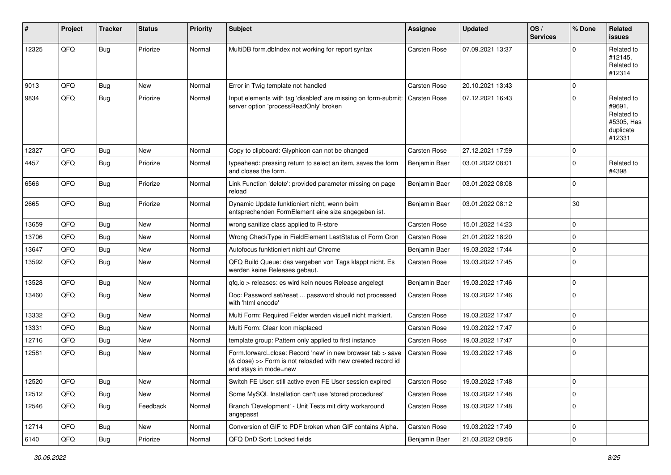| #     | Project        | <b>Tracker</b> | <b>Status</b> | <b>Priority</b> | <b>Subject</b>                                                                                                                                      | <b>Assignee</b>     | <b>Updated</b>   | OS/<br><b>Services</b> | % Done       | <b>Related</b><br><b>issues</b>                                         |
|-------|----------------|----------------|---------------|-----------------|-----------------------------------------------------------------------------------------------------------------------------------------------------|---------------------|------------------|------------------------|--------------|-------------------------------------------------------------------------|
| 12325 | QFQ            | <b>Bug</b>     | Priorize      | Normal          | MultiDB form.dblndex not working for report syntax                                                                                                  | <b>Carsten Rose</b> | 07.09.2021 13:37 |                        | <sup>0</sup> | Related to<br>#12145,<br>Related to<br>#12314                           |
| 9013  | QFQ            | <b>Bug</b>     | <b>New</b>    | Normal          | Error in Twig template not handled                                                                                                                  | <b>Carsten Rose</b> | 20.10.2021 13:43 |                        | $\Omega$     |                                                                         |
| 9834  | QFQ            | <b>Bug</b>     | Priorize      | Normal          | Input elements with tag 'disabled' are missing on form-submit:<br>server option 'processReadOnly' broken                                            | Carsten Rose        | 07.12.2021 16:43 |                        | $\Omega$     | Related to<br>#9691.<br>Related to<br>#5305, Has<br>duplicate<br>#12331 |
| 12327 | QFQ            | Bug            | <b>New</b>    | Normal          | Copy to clipboard: Glyphicon can not be changed                                                                                                     | <b>Carsten Rose</b> | 27.12.2021 17:59 |                        | 0            |                                                                         |
| 4457  | QFQ            | <b>Bug</b>     | Priorize      | Normal          | typeahead: pressing return to select an item, saves the form<br>and closes the form.                                                                | Benjamin Baer       | 03.01.2022 08:01 |                        | $\Omega$     | Related to<br>#4398                                                     |
| 6566  | QFQ            | Bug            | Priorize      | Normal          | Link Function 'delete': provided parameter missing on page<br>reload                                                                                | Benjamin Baer       | 03.01.2022 08:08 |                        | $\Omega$     |                                                                         |
| 2665  | QFQ            | <b>Bug</b>     | Priorize      | Normal          | Dynamic Update funktioniert nicht, wenn beim<br>entsprechenden FormElement eine size angegeben ist.                                                 | Benjamin Baer       | 03.01.2022 08:12 |                        | 30           |                                                                         |
| 13659 | QFQ            | <b>Bug</b>     | <b>New</b>    | Normal          | wrong sanitize class applied to R-store                                                                                                             | Carsten Rose        | 15.01.2022 14:23 |                        | 0            |                                                                         |
| 13706 | QFQ            | <b>Bug</b>     | <b>New</b>    | Normal          | Wrong CheckType in FieldElement LastStatus of Form Cron                                                                                             | Carsten Rose        | 21.01.2022 18:20 |                        | $\Omega$     |                                                                         |
| 13647 | QFQ            | <b>Bug</b>     | New           | Normal          | Autofocus funktioniert nicht auf Chrome                                                                                                             | Benjamin Baer       | 19.03.2022 17:44 |                        | $\Omega$     |                                                                         |
| 13592 | QFQ            | <b>Bug</b>     | <b>New</b>    | Normal          | QFQ Build Queue: das vergeben von Tags klappt nicht. Es<br>werden keine Releases gebaut.                                                            | <b>Carsten Rose</b> | 19.03.2022 17:45 |                        | $\Omega$     |                                                                         |
| 13528 | QFQ            | <b>Bug</b>     | <b>New</b>    | Normal          | qfq.io > releases: es wird kein neues Release angelegt                                                                                              | Benjamin Baer       | 19.03.2022 17:46 |                        | $\Omega$     |                                                                         |
| 13460 | QFQ            | <b>Bug</b>     | <b>New</b>    | Normal          | Doc: Password set/reset  password should not processed<br>with 'html encode'                                                                        | <b>Carsten Rose</b> | 19.03.2022 17:46 |                        | $\Omega$     |                                                                         |
| 13332 | QFQ            | Bug            | <b>New</b>    | Normal          | Multi Form: Required Felder werden visuell nicht markiert.                                                                                          | Carsten Rose        | 19.03.2022 17:47 |                        | $\Omega$     |                                                                         |
| 13331 | QFQ            | <b>Bug</b>     | <b>New</b>    | Normal          | Multi Form: Clear Icon misplaced                                                                                                                    | <b>Carsten Rose</b> | 19.03.2022 17:47 |                        | $\Omega$     |                                                                         |
| 12716 | QFQ            | <b>Bug</b>     | New           | Normal          | template group: Pattern only applied to first instance                                                                                              | <b>Carsten Rose</b> | 19.03.2022 17:47 |                        | $\Omega$     |                                                                         |
| 12581 | QFQ            | <b>Bug</b>     | <b>New</b>    | Normal          | Form.forward=close: Record 'new' in new browser tab > save<br>(& close) >> Form is not reloaded with new created record id<br>and stays in mode=new | <b>Carsten Rose</b> | 19.03.2022 17:48 |                        | $\Omega$     |                                                                         |
| 12520 | QFG            | <b>Bug</b>     | New           | Normal          | Switch FE User: still active even FE User session expired                                                                                           | Carsten Rose        | 19.03.2022 17:48 |                        | 0            |                                                                         |
| 12512 | QFQ            | Bug            | New           | Normal          | Some MySQL Installation can't use 'stored procedures'                                                                                               | Carsten Rose        | 19.03.2022 17:48 |                        | $\mathbf 0$  |                                                                         |
| 12546 | QFQ            | <b>Bug</b>     | Feedback      | Normal          | Branch 'Development' - Unit Tests mit dirty workaround<br>angepasst                                                                                 | Carsten Rose        | 19.03.2022 17:48 |                        | 0            |                                                                         |
| 12714 | QFQ            | <b>Bug</b>     | New           | Normal          | Conversion of GIF to PDF broken when GIF contains Alpha.                                                                                            | Carsten Rose        | 19.03.2022 17:49 |                        | $\mathbf 0$  |                                                                         |
| 6140  | $\mathsf{QFQ}$ | Bug            | Priorize      | Normal          | QFQ DnD Sort: Locked fields                                                                                                                         | Benjamin Baer       | 21.03.2022 09:56 |                        | $\mathbf 0$  |                                                                         |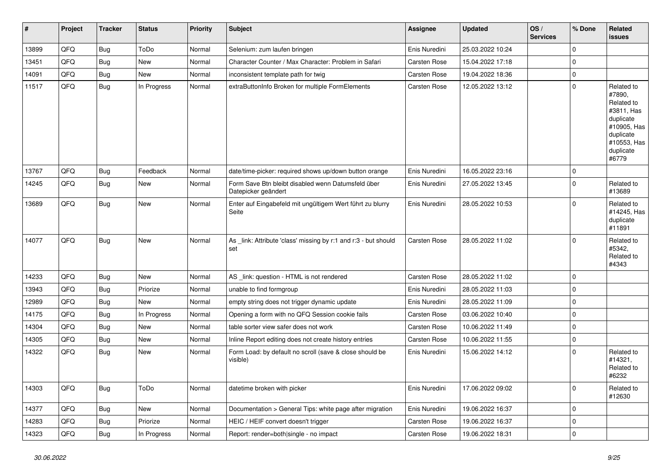| $\vert$ # | Project | <b>Tracker</b> | <b>Status</b> | <b>Priority</b> | <b>Subject</b>                                                            | <b>Assignee</b>     | <b>Updated</b>   | OS/<br><b>Services</b> | % Done         | Related<br><b>issues</b>                                                                                                       |
|-----------|---------|----------------|---------------|-----------------|---------------------------------------------------------------------------|---------------------|------------------|------------------------|----------------|--------------------------------------------------------------------------------------------------------------------------------|
| 13899     | QFQ     | Bug            | ToDo          | Normal          | Selenium: zum laufen bringen                                              | Enis Nuredini       | 25.03.2022 10:24 |                        | $\overline{0}$ |                                                                                                                                |
| 13451     | QFQ     | Bug            | New           | Normal          | Character Counter / Max Character: Problem in Safari                      | <b>Carsten Rose</b> | 15.04.2022 17:18 |                        | $\overline{0}$ |                                                                                                                                |
| 14091     | QFQ     | <b>Bug</b>     | New           | Normal          | inconsistent template path for twig                                       | <b>Carsten Rose</b> | 19.04.2022 18:36 |                        | $\overline{0}$ |                                                                                                                                |
| 11517     | QFQ     | <b>Bug</b>     | In Progress   | Normal          | extraButtonInfo Broken for multiple FormElements                          | <b>Carsten Rose</b> | 12.05.2022 13:12 |                        | $\overline{0}$ | Related to<br>#7890,<br>Related to<br>#3811. Has<br>duplicate<br>#10905, Has<br>duplicate<br>#10553, Has<br>duplicate<br>#6779 |
| 13767     | QFQ     | <b>Bug</b>     | Feedback      | Normal          | date/time-picker: required shows up/down button orange                    | Enis Nuredini       | 16.05.2022 23:16 |                        | $\pmb{0}$      |                                                                                                                                |
| 14245     | QFQ     | <b>Bug</b>     | <b>New</b>    | Normal          | Form Save Btn bleibt disabled wenn Datumsfeld über<br>Datepicker geändert | Enis Nuredini       | 27.05.2022 13:45 |                        | $\overline{0}$ | Related to<br>#13689                                                                                                           |
| 13689     | QFQ     | Bug            | <b>New</b>    | Normal          | Enter auf Eingabefeld mit ungültigem Wert führt zu blurry<br>Seite        | Enis Nuredini       | 28.05.2022 10:53 |                        | $\mathbf{0}$   | Related to<br>#14245, Has<br>duplicate<br>#11891                                                                               |
| 14077     | QFQ     | Bug            | <b>New</b>    | Normal          | As _link: Attribute 'class' missing by r:1 and r:3 - but should<br>set    | Carsten Rose        | 28.05.2022 11:02 |                        | $\overline{0}$ | Related to<br>#5342.<br>Related to<br>#4343                                                                                    |
| 14233     | QFQ     | Bug            | <b>New</b>    | Normal          | AS _link: question - HTML is not rendered                                 | <b>Carsten Rose</b> | 28.05.2022 11:02 |                        | $\overline{0}$ |                                                                                                                                |
| 13943     | QFQ     | <b>Bug</b>     | Priorize      | Normal          | unable to find formgroup                                                  | Enis Nuredini       | 28.05.2022 11:03 |                        | $\pmb{0}$      |                                                                                                                                |
| 12989     | QFQ     | <b>Bug</b>     | <b>New</b>    | Normal          | empty string does not trigger dynamic update                              | Enis Nuredini       | 28.05.2022 11:09 |                        | $\overline{0}$ |                                                                                                                                |
| 14175     | QFQ     | <b>Bug</b>     | In Progress   | Normal          | Opening a form with no QFQ Session cookie fails                           | <b>Carsten Rose</b> | 03.06.2022 10:40 |                        | $\overline{0}$ |                                                                                                                                |
| 14304     | QFQ     | <b>Bug</b>     | <b>New</b>    | Normal          | table sorter view safer does not work                                     | <b>Carsten Rose</b> | 10.06.2022 11:49 |                        | $\overline{0}$ |                                                                                                                                |
| 14305     | QFQ     | <b>Bug</b>     | <b>New</b>    | Normal          | Inline Report editing does not create history entries                     | <b>Carsten Rose</b> | 10.06.2022 11:55 |                        | $\overline{0}$ |                                                                                                                                |
| 14322     | QFQ     | Bug            | <b>New</b>    | Normal          | Form Load: by default no scroll (save & close should be<br>visible)       | Enis Nuredini       | 15.06.2022 14:12 |                        | $\overline{0}$ | Related to<br>#14321,<br>Related to<br>#6232                                                                                   |
| 14303     | QFQ     | Bug            | ToDo          | Normal          | datetime broken with picker                                               | Enis Nuredini       | 17.06.2022 09:02 |                        | $\overline{0}$ | Related to<br>#12630                                                                                                           |
| 14377     | QFQ     | <b>Bug</b>     | New           | Normal          | Documentation > General Tips: white page after migration                  | Enis Nuredini       | 19.06.2022 16:37 |                        | $\overline{0}$ |                                                                                                                                |
| 14283     | QFQ     | Bug            | Priorize      | Normal          | HEIC / HEIF convert doesn't trigger                                       | <b>Carsten Rose</b> | 19.06.2022 16:37 |                        | $\overline{0}$ |                                                                                                                                |
| 14323     | QFQ     | Bug            | In Progress   | Normal          | Report: render=both single - no impact                                    | Carsten Rose        | 19.06.2022 18:31 |                        | $\pmb{0}$      |                                                                                                                                |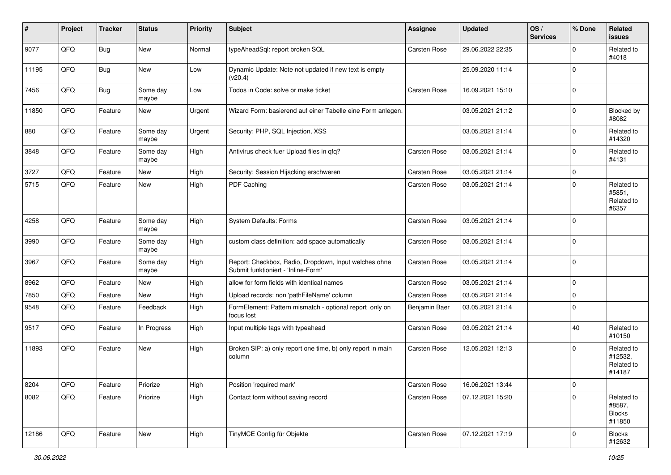| #     | Project | <b>Tracker</b> | <b>Status</b>     | <b>Priority</b> | <b>Subject</b>                                                                               | <b>Assignee</b>     | <b>Updated</b>   | OS/<br><b>Services</b> | % Done         | Related<br>issues                               |
|-------|---------|----------------|-------------------|-----------------|----------------------------------------------------------------------------------------------|---------------------|------------------|------------------------|----------------|-------------------------------------------------|
| 9077  | QFQ     | <b>Bug</b>     | New               | Normal          | typeAheadSql: report broken SQL                                                              | <b>Carsten Rose</b> | 29.06.2022 22:35 |                        | <sup>0</sup>   | Related to<br>#4018                             |
| 11195 | QFQ     | <b>Bug</b>     | <b>New</b>        | Low             | Dynamic Update: Note not updated if new text is empty<br>(v20.4)                             |                     | 25.09.2020 11:14 |                        | 0              |                                                 |
| 7456  | QFQ     | <b>Bug</b>     | Some day<br>maybe | Low             | Todos in Code: solve or make ticket                                                          | Carsten Rose        | 16.09.2021 15:10 |                        | $\Omega$       |                                                 |
| 11850 | QFQ     | Feature        | <b>New</b>        | Urgent          | Wizard Form: basierend auf einer Tabelle eine Form anlegen.                                  |                     | 03.05.2021 21:12 |                        | 0              | Blocked by<br>#8082                             |
| 880   | QFQ     | Feature        | Some day<br>maybe | Urgent          | Security: PHP, SQL Injection, XSS                                                            |                     | 03.05.2021 21:14 |                        | $\Omega$       | Related to<br>#14320                            |
| 3848  | QFQ     | Feature        | Some day<br>maybe | High            | Antivirus check fuer Upload files in qfq?                                                    | <b>Carsten Rose</b> | 03.05.2021 21:14 |                        | $\Omega$       | Related to<br>#4131                             |
| 3727  | QFQ     | Feature        | New               | High            | Security: Session Hijacking erschweren                                                       | <b>Carsten Rose</b> | 03.05.2021 21:14 |                        | $\Omega$       |                                                 |
| 5715  | QFQ     | Feature        | New               | High            | PDF Caching                                                                                  | Carsten Rose        | 03.05.2021 21:14 |                        | $\Omega$       | Related to<br>#5851,<br>Related to<br>#6357     |
| 4258  | QFQ     | Feature        | Some day<br>maybe | High            | <b>System Defaults: Forms</b>                                                                | <b>Carsten Rose</b> | 03.05.2021 21:14 |                        | 0              |                                                 |
| 3990  | QFQ     | Feature        | Some day<br>maybe | High            | custom class definition: add space automatically                                             | <b>Carsten Rose</b> | 03.05.2021 21:14 |                        | 0              |                                                 |
| 3967  | QFQ     | Feature        | Some day<br>maybe | High            | Report: Checkbox, Radio, Dropdown, Input welches ohne<br>Submit funktioniert - 'Inline-Form' | Carsten Rose        | 03.05.2021 21:14 |                        | $\Omega$       |                                                 |
| 8962  | QFQ     | Feature        | New               | High            | allow for form fields with identical names                                                   | <b>Carsten Rose</b> | 03.05.2021 21:14 |                        | 0              |                                                 |
| 7850  | QFQ     | Feature        | <b>New</b>        | High            | Upload records: non 'pathFileName' column                                                    | Carsten Rose        | 03.05.2021 21:14 |                        | $\mathbf 0$    |                                                 |
| 9548  | QFQ     | Feature        | Feedback          | High            | FormElement: Pattern mismatch - optional report only on<br>focus lost                        | Benjamin Baer       | 03.05.2021 21:14 |                        | $\Omega$       |                                                 |
| 9517  | QFQ     | Feature        | In Progress       | High            | Input multiple tags with typeahead                                                           | Carsten Rose        | 03.05.2021 21:14 |                        | 40             | Related to<br>#10150                            |
| 11893 | QFQ     | Feature        | <b>New</b>        | High            | Broken SIP: a) only report one time, b) only report in main<br>column                        | Carsten Rose        | 12.05.2021 12:13 |                        | U              | Related to<br>#12532,<br>Related to<br>#14187   |
| 8204  | QFQ     | Feature        | Priorize          | High            | Position 'required mark'                                                                     | Carsten Rose        | 16.06.2021 13:44 |                        | $\overline{0}$ |                                                 |
| 8082  | QFG     | Feature        | Priorize          | High            | Contact form without saving record                                                           | Carsten Rose        | 07.12.2021 15:20 |                        | $\Omega$       | Related to<br>#8587,<br><b>Blocks</b><br>#11850 |
| 12186 | QFQ     | Feature        | New               | High            | TinyMCE Config für Objekte                                                                   | Carsten Rose        | 07.12.2021 17:19 |                        | $\mathbf 0$    | <b>Blocks</b><br>#12632                         |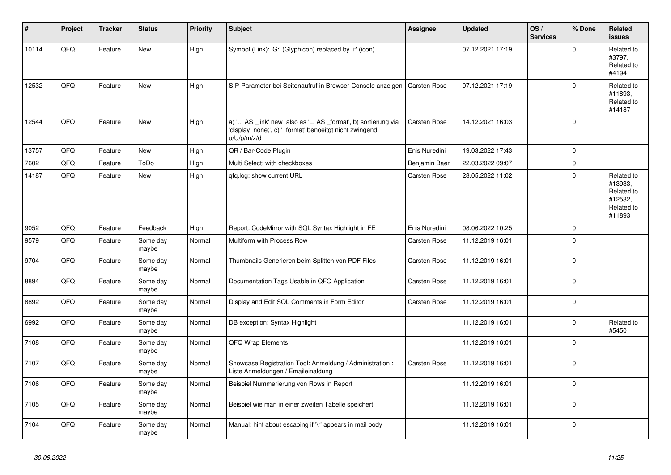| #     | Project | <b>Tracker</b> | <b>Status</b>     | <b>Priority</b> | <b>Subject</b>                                                                                                                        | Assignee            | <b>Updated</b>   | OS/<br><b>Services</b> | % Done      | <b>Related</b><br><b>issues</b>                                        |
|-------|---------|----------------|-------------------|-----------------|---------------------------------------------------------------------------------------------------------------------------------------|---------------------|------------------|------------------------|-------------|------------------------------------------------------------------------|
| 10114 | QFQ     | Feature        | <b>New</b>        | High            | Symbol (Link): 'G:' (Glyphicon) replaced by 'i:' (icon)                                                                               |                     | 07.12.2021 17:19 |                        | $\Omega$    | Related to<br>#3797,<br>Related to<br>#4194                            |
| 12532 | QFQ     | Feature        | <b>New</b>        | High            | SIP-Parameter bei Seitenaufruf in Browser-Console anzeigen                                                                            | <b>Carsten Rose</b> | 07.12.2021 17:19 |                        | $\Omega$    | Related to<br>#11893.<br>Related to<br>#14187                          |
| 12544 | QFQ     | Feature        | <b>New</b>        | High            | a) ' AS _link' new also as ' AS _format', b) sortierung via<br>'display: none;', c) '_format' benoeitgt nicht zwingend<br>u/U/p/m/z/d | Carsten Rose        | 14.12.2021 16:03 |                        | $\Omega$    |                                                                        |
| 13757 | QFQ     | Feature        | <b>New</b>        | High            | QR / Bar-Code Plugin                                                                                                                  | Enis Nuredini       | 19.03.2022 17:43 |                        | $\Omega$    |                                                                        |
| 7602  | QFQ     | Feature        | ToDo              | High            | Multi Select: with checkboxes                                                                                                         | Benjamin Baer       | 22.03.2022 09:07 |                        | $\Omega$    |                                                                        |
| 14187 | QFQ     | Feature        | <b>New</b>        | High            | gfg.log: show current URL                                                                                                             | <b>Carsten Rose</b> | 28.05.2022 11:02 |                        | $\Omega$    | Related to<br>#13933,<br>Related to<br>#12532,<br>Related to<br>#11893 |
| 9052  | QFQ     | Feature        | Feedback          | High            | Report: CodeMirror with SQL Syntax Highlight in FE                                                                                    | Enis Nuredini       | 08.06.2022 10:25 |                        | $\mathbf 0$ |                                                                        |
| 9579  | QFQ     | Feature        | Some day<br>maybe | Normal          | Multiform with Process Row                                                                                                            | <b>Carsten Rose</b> | 11.12.2019 16:01 |                        | $\Omega$    |                                                                        |
| 9704  | QFQ     | Feature        | Some day<br>maybe | Normal          | Thumbnails Generieren beim Splitten von PDF Files                                                                                     | <b>Carsten Rose</b> | 11.12.2019 16:01 |                        | $\Omega$    |                                                                        |
| 8894  | QFQ     | Feature        | Some day<br>maybe | Normal          | Documentation Tags Usable in QFQ Application                                                                                          | <b>Carsten Rose</b> | 11.12.2019 16:01 |                        | $\Omega$    |                                                                        |
| 8892  | QFQ     | Feature        | Some day<br>maybe | Normal          | Display and Edit SQL Comments in Form Editor                                                                                          | <b>Carsten Rose</b> | 11.12.2019 16:01 |                        | $\mathbf 0$ |                                                                        |
| 6992  | QFQ     | Feature        | Some day<br>maybe | Normal          | DB exception: Syntax Highlight                                                                                                        |                     | 11.12.2019 16:01 |                        | $\Omega$    | Related to<br>#5450                                                    |
| 7108  | QFQ     | Feature        | Some day<br>maybe | Normal          | QFQ Wrap Elements                                                                                                                     |                     | 11.12.2019 16:01 |                        | $\Omega$    |                                                                        |
| 7107  | QFQ     | Feature        | Some day<br>maybe | Normal          | Showcase Registration Tool: Anmeldung / Administration :<br>Liste Anmeldungen / Emaileinaldung                                        | <b>Carsten Rose</b> | 11.12.2019 16:01 |                        | $\mathbf 0$ |                                                                        |
| 7106  | QFQ     | Feature        | Some day<br>maybe | Normal          | Beispiel Nummerierung von Rows in Report                                                                                              |                     | 11.12.2019 16:01 |                        | $\Omega$    |                                                                        |
| 7105  | QFQ     | Feature        | Some day<br>maybe | Normal          | Beispiel wie man in einer zweiten Tabelle speichert.                                                                                  |                     | 11.12.2019 16:01 |                        | $\Omega$    |                                                                        |
| 7104  | QFQ     | Feature        | Some day<br>maybe | Normal          | Manual: hint about escaping if '\r' appears in mail body                                                                              |                     | 11.12.2019 16:01 |                        | $\Omega$    |                                                                        |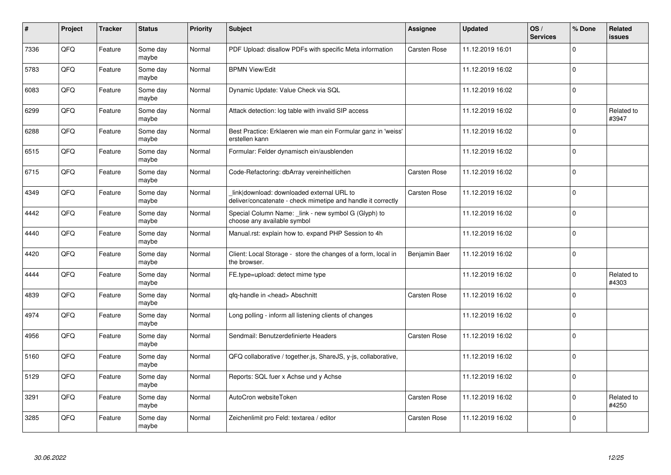| #    | Project | <b>Tracker</b> | <b>Status</b>     | <b>Priority</b> | <b>Subject</b>                                                                                            | Assignee            | <b>Updated</b>   | OS/<br><b>Services</b> | % Done      | Related<br>issues   |
|------|---------|----------------|-------------------|-----------------|-----------------------------------------------------------------------------------------------------------|---------------------|------------------|------------------------|-------------|---------------------|
| 7336 | QFQ     | Feature        | Some day<br>maybe | Normal          | PDF Upload: disallow PDFs with specific Meta information                                                  | Carsten Rose        | 11.12.2019 16:01 |                        | $\Omega$    |                     |
| 5783 | QFQ     | Feature        | Some day<br>maybe | Normal          | <b>BPMN View/Edit</b>                                                                                     |                     | 11.12.2019 16:02 |                        | $\Omega$    |                     |
| 6083 | QFQ     | Feature        | Some day<br>maybe | Normal          | Dynamic Update: Value Check via SQL                                                                       |                     | 11.12.2019 16:02 |                        | $\Omega$    |                     |
| 6299 | QFQ     | Feature        | Some day<br>maybe | Normal          | Attack detection: log table with invalid SIP access                                                       |                     | 11.12.2019 16:02 |                        | $\Omega$    | Related to<br>#3947 |
| 6288 | QFQ     | Feature        | Some day<br>maybe | Normal          | Best Practice: Erklaeren wie man ein Formular ganz in 'weiss'<br>erstellen kann                           |                     | 11.12.2019 16:02 |                        | $\Omega$    |                     |
| 6515 | QFQ     | Feature        | Some day<br>maybe | Normal          | Formular: Felder dynamisch ein/ausblenden                                                                 |                     | 11.12.2019 16:02 |                        | $\Omega$    |                     |
| 6715 | QFQ     | Feature        | Some day<br>maybe | Normal          | Code-Refactoring: dbArray vereinheitlichen                                                                | <b>Carsten Rose</b> | 11.12.2019 16:02 |                        | $\mathbf 0$ |                     |
| 4349 | QFQ     | Feature        | Some day<br>maybe | Normal          | link download: downloaded external URL to<br>deliver/concatenate - check mimetipe and handle it correctly | Carsten Rose        | 11.12.2019 16:02 |                        | $\Omega$    |                     |
| 4442 | QFQ     | Feature        | Some day<br>maybe | Normal          | Special Column Name: _link - new symbol G (Glyph) to<br>choose any available symbol                       |                     | 11.12.2019 16:02 |                        | $\Omega$    |                     |
| 4440 | QFQ     | Feature        | Some day<br>maybe | Normal          | Manual.rst: explain how to. expand PHP Session to 4h                                                      |                     | 11.12.2019 16:02 |                        | $\Omega$    |                     |
| 4420 | QFQ     | Feature        | Some day<br>maybe | Normal          | Client: Local Storage - store the changes of a form, local in<br>the browser.                             | Benjamin Baer       | 11.12.2019 16:02 |                        | $\Omega$    |                     |
| 4444 | QFQ     | Feature        | Some day<br>maybe | Normal          | FE.type=upload: detect mime type                                                                          |                     | 11.12.2019 16:02 |                        | $\Omega$    | Related to<br>#4303 |
| 4839 | QFQ     | Feature        | Some day<br>maybe | Normal          | qfq-handle in <head> Abschnitt</head>                                                                     | <b>Carsten Rose</b> | 11.12.2019 16:02 |                        | $\Omega$    |                     |
| 4974 | QFQ     | Feature        | Some day<br>maybe | Normal          | Long polling - inform all listening clients of changes                                                    |                     | 11.12.2019 16:02 |                        | $\mathbf 0$ |                     |
| 4956 | QFQ     | Feature        | Some day<br>maybe | Normal          | Sendmail: Benutzerdefinierte Headers                                                                      | Carsten Rose        | 11.12.2019 16:02 |                        | $\Omega$    |                     |
| 5160 | QFQ     | Feature        | Some day<br>maybe | Normal          | QFQ collaborative / together.js, ShareJS, y-js, collaborative,                                            |                     | 11.12.2019 16:02 |                        | $\Omega$    |                     |
| 5129 | QFQ     | Feature        | Some day<br>maybe | Normal          | Reports: SQL fuer x Achse und y Achse                                                                     |                     | 11.12.2019 16:02 |                        | $\Omega$    |                     |
| 3291 | QFQ     | Feature        | Some day<br>maybe | Normal          | AutoCron websiteToken                                                                                     | Carsten Rose        | 11.12.2019 16:02 |                        | 0           | Related to<br>#4250 |
| 3285 | QFQ     | Feature        | Some day<br>maybe | Normal          | Zeichenlimit pro Feld: textarea / editor                                                                  | Carsten Rose        | 11.12.2019 16:02 |                        | $\Omega$    |                     |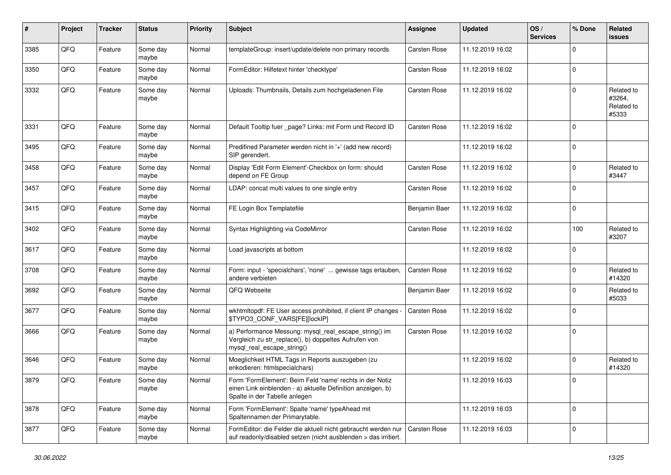| #    | Project | <b>Tracker</b> | <b>Status</b>     | <b>Priority</b> | <b>Subject</b>                                                                                                                                           | <b>Assignee</b>     | <b>Updated</b>   | OS/<br><b>Services</b> | % Done      | Related<br><b>issues</b>                    |
|------|---------|----------------|-------------------|-----------------|----------------------------------------------------------------------------------------------------------------------------------------------------------|---------------------|------------------|------------------------|-------------|---------------------------------------------|
| 3385 | QFQ     | Feature        | Some day<br>maybe | Normal          | templateGroup: insert/update/delete non primary records                                                                                                  | <b>Carsten Rose</b> | 11.12.2019 16:02 |                        | $\Omega$    |                                             |
| 3350 | QFQ     | Feature        | Some day<br>maybe | Normal          | FormEditor: Hilfetext hinter 'checktype'                                                                                                                 | <b>Carsten Rose</b> | 11.12.2019 16:02 |                        | $\Omega$    |                                             |
| 3332 | QFQ     | Feature        | Some day<br>maybe | Normal          | Uploads: Thumbnails, Details zum hochgeladenen File                                                                                                      | Carsten Rose        | 11.12.2019 16:02 |                        | $\Omega$    | Related to<br>#3264,<br>Related to<br>#5333 |
| 3331 | QFQ     | Feature        | Some day<br>maybe | Normal          | Default Tooltip fuer _page? Links: mit Form und Record ID                                                                                                | <b>Carsten Rose</b> | 11.12.2019 16:02 |                        | $\mathbf 0$ |                                             |
| 3495 | QFQ     | Feature        | Some day<br>maybe | Normal          | Predifined Parameter werden nicht in '+' (add new record)<br>SIP gerendert.                                                                              |                     | 11.12.2019 16:02 |                        | $\Omega$    |                                             |
| 3458 | QFQ     | Feature        | Some day<br>maybe | Normal          | Display 'Edit Form Element'-Checkbox on form: should<br>depend on FE Group                                                                               | Carsten Rose        | 11.12.2019 16:02 |                        | $\Omega$    | Related to<br>#3447                         |
| 3457 | QFQ     | Feature        | Some day<br>maybe | Normal          | LDAP: concat multi values to one single entry                                                                                                            | Carsten Rose        | 11.12.2019 16:02 |                        | $\Omega$    |                                             |
| 3415 | QFQ     | Feature        | Some day<br>maybe | Normal          | FE Login Box Templatefile                                                                                                                                | Benjamin Baer       | 11.12.2019 16:02 |                        | $\Omega$    |                                             |
| 3402 | QFQ     | Feature        | Some day<br>maybe | Normal          | Syntax Highlighting via CodeMirror                                                                                                                       | Carsten Rose        | 11.12.2019 16:02 |                        | 100         | Related to<br>#3207                         |
| 3617 | QFQ     | Feature        | Some day<br>maybe | Normal          | Load javascripts at bottom                                                                                                                               |                     | 11.12.2019 16:02 |                        | $\Omega$    |                                             |
| 3708 | QFQ     | Feature        | Some day<br>maybe | Normal          | Form: input - 'specialchars', 'none'  gewisse tags erlauben,<br>andere verbieten                                                                         | <b>Carsten Rose</b> | 11.12.2019 16:02 |                        | $\mathbf 0$ | Related to<br>#14320                        |
| 3692 | QFQ     | Feature        | Some day<br>maybe | Normal          | QFQ Webseite                                                                                                                                             | Benjamin Baer       | 11.12.2019 16:02 |                        | $\Omega$    | Related to<br>#5033                         |
| 3677 | QFQ     | Feature        | Some day<br>maybe | Normal          | wkhtmltopdf: FE User access prohibited, if client IP changes -<br>\$TYPO3_CONF_VARS[FE][lockIP]                                                          | <b>Carsten Rose</b> | 11.12.2019 16:02 |                        | $\Omega$    |                                             |
| 3666 | QFQ     | Feature        | Some day<br>maybe | Normal          | a) Performance Messung: mysql_real_escape_string() im<br>Vergleich zu str_replace(), b) doppeltes Aufrufen von<br>mysql_real_escape_string()             | Carsten Rose        | 11.12.2019 16:02 |                        | $\Omega$    |                                             |
| 3646 | QFQ     | Feature        | Some day<br>maybe | Normal          | Moeglichkeit HTML Tags in Reports auszugeben (zu<br>enkodieren: htmlspecialchars)                                                                        |                     | 11.12.2019 16:02 |                        | $\Omega$    | Related to<br>#14320                        |
| 3879 | QFQ     | Feature        | Some day<br>maybe | Normal          | Form 'FormElement': Beim Feld 'name' rechts in der Notiz<br>einen Link einblenden - a) aktuelle Definition anzeigen, b)<br>Spalte in der Tabelle anlegen |                     | 11.12.2019 16:03 |                        | $\mathbf 0$ |                                             |
| 3878 | QFQ     | Feature        | Some day<br>maybe | Normal          | Form 'FormElement': Spalte 'name' typeAhead mit<br>Spaltennamen der Primarytable.                                                                        |                     | 11.12.2019 16:03 |                        | 0           |                                             |
| 3877 | QFQ     | Feature        | Some day<br>maybe | Normal          | FormEditor: die Felder die aktuell nicht gebraucht werden nur<br>auf readonly/disabled setzen (nicht ausblenden > das irritiert.                         | <b>Carsten Rose</b> | 11.12.2019 16:03 |                        | 0           |                                             |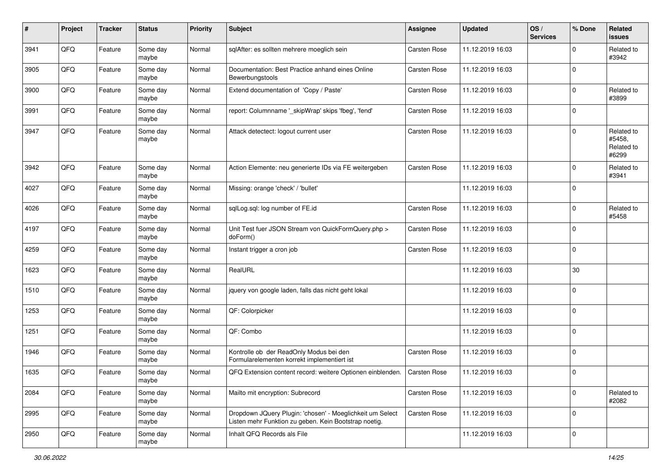| #    | Project | <b>Tracker</b> | <b>Status</b>     | <b>Priority</b> | <b>Subject</b>                                                                                                     | <b>Assignee</b>     | <b>Updated</b>   | OS/<br><b>Services</b> | % Done       | Related<br>issues                           |
|------|---------|----------------|-------------------|-----------------|--------------------------------------------------------------------------------------------------------------------|---------------------|------------------|------------------------|--------------|---------------------------------------------|
| 3941 | QFQ     | Feature        | Some day<br>maybe | Normal          | sqlAfter: es sollten mehrere moeglich sein                                                                         | <b>Carsten Rose</b> | 11.12.2019 16:03 |                        | 0            | Related to<br>#3942                         |
| 3905 | QFQ     | Feature        | Some day<br>maybe | Normal          | Documentation: Best Practice anhand eines Online<br>Bewerbungstools                                                | <b>Carsten Rose</b> | 11.12.2019 16:03 |                        | $\mathbf{0}$ |                                             |
| 3900 | QFQ     | Feature        | Some day<br>maybe | Normal          | Extend documentation of 'Copy / Paste'                                                                             | Carsten Rose        | 11.12.2019 16:03 |                        | 0            | Related to<br>#3899                         |
| 3991 | QFQ     | Feature        | Some day<br>maybe | Normal          | report: Columnname '_skipWrap' skips 'fbeg', 'fend'                                                                | <b>Carsten Rose</b> | 11.12.2019 16:03 |                        | $\mathbf{0}$ |                                             |
| 3947 | QFQ     | Feature        | Some day<br>maybe | Normal          | Attack detectect: logout current user                                                                              | <b>Carsten Rose</b> | 11.12.2019 16:03 |                        | 0            | Related to<br>#5458,<br>Related to<br>#6299 |
| 3942 | QFQ     | Feature        | Some day<br>maybe | Normal          | Action Elemente: neu generierte IDs via FE weitergeben                                                             | <b>Carsten Rose</b> | 11.12.2019 16:03 |                        | $\Omega$     | Related to<br>#3941                         |
| 4027 | QFQ     | Feature        | Some day<br>maybe | Normal          | Missing: orange 'check' / 'bullet'                                                                                 |                     | 11.12.2019 16:03 |                        | $\Omega$     |                                             |
| 4026 | QFQ     | Feature        | Some day<br>maybe | Normal          | sqlLog.sql: log number of FE.id                                                                                    | Carsten Rose        | 11.12.2019 16:03 |                        | $\Omega$     | Related to<br>#5458                         |
| 4197 | QFQ     | Feature        | Some day<br>maybe | Normal          | Unit Test fuer JSON Stream von QuickFormQuery.php ><br>doForm()                                                    | Carsten Rose        | 11.12.2019 16:03 |                        | 0            |                                             |
| 4259 | QFQ     | Feature        | Some day<br>maybe | Normal          | Instant trigger a cron job                                                                                         | <b>Carsten Rose</b> | 11.12.2019 16:03 |                        | $\mathbf{0}$ |                                             |
| 1623 | QFQ     | Feature        | Some day<br>maybe | Normal          | RealURL                                                                                                            |                     | 11.12.2019 16:03 |                        | 30           |                                             |
| 1510 | QFQ     | Feature        | Some day<br>maybe | Normal          | jquery von google laden, falls das nicht geht lokal                                                                |                     | 11.12.2019 16:03 |                        | $\Omega$     |                                             |
| 1253 | QFQ     | Feature        | Some day<br>maybe | Normal          | QF: Colorpicker                                                                                                    |                     | 11.12.2019 16:03 |                        | $\Omega$     |                                             |
| 1251 | QFQ     | Feature        | Some day<br>maybe | Normal          | QF: Combo                                                                                                          |                     | 11.12.2019 16:03 |                        | $\Omega$     |                                             |
| 1946 | QFQ     | Feature        | Some day<br>maybe | Normal          | Kontrolle ob der ReadOnly Modus bei den<br>Formularelementen korrekt implementiert ist                             | Carsten Rose        | 11.12.2019 16:03 |                        | $\Omega$     |                                             |
| 1635 | QFQ     | Feature        | Some day<br>maybe | Normal          | QFQ Extension content record: weitere Optionen einblenden.                                                         | <b>Carsten Rose</b> | 11.12.2019 16:03 |                        | $\Omega$     |                                             |
| 2084 | QFQ     | Feature        | Some day<br>maybe | Normal          | Mailto mit encryption: Subrecord                                                                                   | Carsten Rose        | 11.12.2019 16:03 |                        | $\mathbf 0$  | Related to<br>#2082                         |
| 2995 | QFQ     | Feature        | Some day<br>maybe | Normal          | Dropdown JQuery Plugin: 'chosen' - Moeglichkeit um Select<br>Listen mehr Funktion zu geben. Kein Bootstrap noetig. | Carsten Rose        | 11.12.2019 16:03 |                        | 0            |                                             |
| 2950 | QFQ     | Feature        | Some day<br>maybe | Normal          | Inhalt QFQ Records als File                                                                                        |                     | 11.12.2019 16:03 |                        | $\mathbf 0$  |                                             |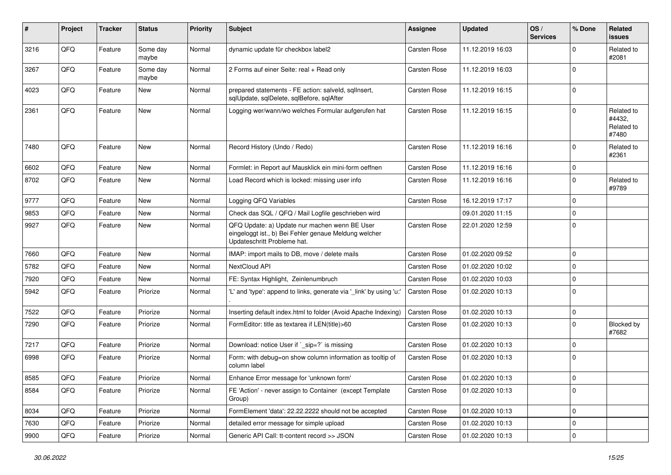| ∦    | Project | <b>Tracker</b> | <b>Status</b>     | <b>Priority</b> | <b>Subject</b>                                                                                                                        | <b>Assignee</b>     | <b>Updated</b>   | OS/<br><b>Services</b> | % Done      | Related<br><b>issues</b>                    |
|------|---------|----------------|-------------------|-----------------|---------------------------------------------------------------------------------------------------------------------------------------|---------------------|------------------|------------------------|-------------|---------------------------------------------|
| 3216 | QFQ     | Feature        | Some day<br>maybe | Normal          | dynamic update für checkbox label2                                                                                                    | <b>Carsten Rose</b> | 11.12.2019 16:03 |                        | 0           | Related to<br>#2081                         |
| 3267 | QFQ     | Feature        | Some day<br>maybe | Normal          | 2 Forms auf einer Seite: real + Read only                                                                                             | Carsten Rose        | 11.12.2019 16:03 |                        | $\Omega$    |                                             |
| 4023 | QFQ     | Feature        | <b>New</b>        | Normal          | prepared statements - FE action: salveld, sqlInsert,<br>sqlUpdate, sqlDelete, sqlBefore, sqlAfter                                     | Carsten Rose        | 11.12.2019 16:15 |                        | $\Omega$    |                                             |
| 2361 | QFQ     | Feature        | New               | Normal          | Logging wer/wann/wo welches Formular aufgerufen hat                                                                                   | <b>Carsten Rose</b> | 11.12.2019 16:15 |                        | $\Omega$    | Related to<br>#4432,<br>Related to<br>#7480 |
| 7480 | QFQ     | Feature        | <b>New</b>        | Normal          | Record History (Undo / Redo)                                                                                                          | <b>Carsten Rose</b> | 11.12.2019 16:16 |                        | $\Omega$    | Related to<br>#2361                         |
| 6602 | QFQ     | Feature        | <b>New</b>        | Normal          | Formlet: in Report auf Mausklick ein mini-form oeffnen                                                                                | <b>Carsten Rose</b> | 11.12.2019 16:16 |                        | 0           |                                             |
| 8702 | QFQ     | Feature        | <b>New</b>        | Normal          | Load Record which is locked: missing user info                                                                                        | <b>Carsten Rose</b> | 11.12.2019 16:16 |                        | $\Omega$    | Related to<br>#9789                         |
| 9777 | QFQ     | Feature        | <b>New</b>        | Normal          | Logging QFQ Variables                                                                                                                 | Carsten Rose        | 16.12.2019 17:17 |                        | 0           |                                             |
| 9853 | QFQ     | Feature        | <b>New</b>        | Normal          | Check das SQL / QFQ / Mail Logfile geschrieben wird                                                                                   |                     | 09.01.2020 11:15 |                        | 0           |                                             |
| 9927 | QFQ     | Feature        | New               | Normal          | QFQ Update: a) Update nur machen wenn BE User<br>eingeloggt ist., b) Bei Fehler genaue Meldung welcher<br>Updateschritt Probleme hat. | <b>Carsten Rose</b> | 22.01.2020 12:59 |                        | 0           |                                             |
| 7660 | QFQ     | Feature        | <b>New</b>        | Normal          | IMAP: import mails to DB, move / delete mails                                                                                         | <b>Carsten Rose</b> | 01.02.2020 09:52 |                        | 0           |                                             |
| 5782 | QFQ     | Feature        | <b>New</b>        | Normal          | NextCloud API                                                                                                                         | Carsten Rose        | 01.02.2020 10:02 |                        | 0           |                                             |
| 7920 | QFQ     | Feature        | <b>New</b>        | Normal          | FE: Syntax Highlight, Zeinlenumbruch                                                                                                  | <b>Carsten Rose</b> | 01.02.2020 10:03 |                        | 0           |                                             |
| 5942 | QFQ     | Feature        | Priorize          | Normal          | 'L' and 'type': append to links, generate via 'link' by using 'u:'                                                                    | <b>Carsten Rose</b> | 01.02.2020 10:13 |                        | $\Omega$    |                                             |
| 7522 | QFQ     | Feature        | Priorize          | Normal          | Inserting default index.html to folder (Avoid Apache Indexing)                                                                        | <b>Carsten Rose</b> | 01.02.2020 10:13 |                        | $\mathbf 0$ |                                             |
| 7290 | QFQ     | Feature        | Priorize          | Normal          | FormEditor: title as textarea if LEN(title)>60                                                                                        | Carsten Rose        | 01.02.2020 10:13 |                        | $\Omega$    | Blocked by<br>#7682                         |
| 7217 | QFQ     | Feature        | Priorize          | Normal          | Download: notice User if `_sip=?` is missing                                                                                          | <b>Carsten Rose</b> | 01.02.2020 10:13 |                        | $\Omega$    |                                             |
| 6998 | QFQ     | Feature        | Priorize          | Normal          | Form: with debug=on show column information as tooltip of<br>column label                                                             | Carsten Rose        | 01.02.2020 10:13 |                        | 0           |                                             |
| 8585 | QFQ     | Feature        | Priorize          | Normal          | Enhance Error message for 'unknown form'                                                                                              | <b>Carsten Rose</b> | 01.02.2020 10:13 |                        | $\Omega$    |                                             |
| 8584 | QFQ     | Feature        | Priorize          | Normal          | FE 'Action' - never assign to Container (except Template)<br>Group)                                                                   | Carsten Rose        | 01.02.2020 10:13 |                        | $\mathbf 0$ |                                             |
| 8034 | QFQ     | Feature        | Priorize          | Normal          | FormElement 'data': 22.22.2222 should not be accepted                                                                                 | Carsten Rose        | 01.02.2020 10:13 |                        | 0           |                                             |
| 7630 | QFQ     | Feature        | Priorize          | Normal          | detailed error message for simple upload                                                                                              | Carsten Rose        | 01.02.2020 10:13 |                        | 0           |                                             |
| 9900 | QFQ     | Feature        | Priorize          | Normal          | Generic API Call: tt-content record >> JSON                                                                                           | Carsten Rose        | 01.02.2020 10:13 |                        | 0           |                                             |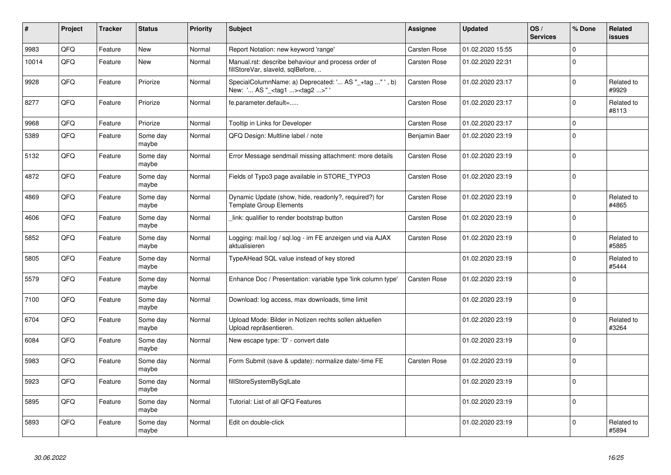| $\vert$ # | Project | <b>Tracker</b> | <b>Status</b>     | <b>Priority</b> | <b>Subject</b>                                                                                    | Assignee            | <b>Updated</b>   | OS/<br><b>Services</b> | % Done       | Related<br>issues   |
|-----------|---------|----------------|-------------------|-----------------|---------------------------------------------------------------------------------------------------|---------------------|------------------|------------------------|--------------|---------------------|
| 9983      | QFQ     | Feature        | <b>New</b>        | Normal          | Report Notation: new keyword 'range'                                                              | <b>Carsten Rose</b> | 01.02.2020 15:55 |                        | $\Omega$     |                     |
| 10014     | QFQ     | Feature        | <b>New</b>        | Normal          | Manual.rst: describe behaviour and process order of<br>fillStoreVar, slaveId, sqlBefore,          | Carsten Rose        | 01.02.2020 22:31 |                        | $\Omega$     |                     |
| 9928      | QFQ     | Feature        | Priorize          | Normal          | SpecialColumnName: a) Deprecated: ' AS "_+tag " ', b)<br>New: ' AS "_ <tag1><tag2>"</tag2></tag1> | <b>Carsten Rose</b> | 01.02.2020 23:17 |                        | $\Omega$     | Related to<br>#9929 |
| 8277      | QFQ     | Feature        | Priorize          | Normal          | fe.parameter.default=                                                                             | <b>Carsten Rose</b> | 01.02.2020 23:17 |                        | $\mathbf 0$  | Related to<br>#8113 |
| 9968      | QFQ     | Feature        | Priorize          | Normal          | Tooltip in Links for Developer                                                                    | Carsten Rose        | 01.02.2020 23:17 |                        | $\mathbf{0}$ |                     |
| 5389      | QFQ     | Feature        | Some day<br>maybe | Normal          | QFQ Design: Multline label / note                                                                 | Benjamin Baer       | 01.02.2020 23:19 |                        | $\mathbf 0$  |                     |
| 5132      | QFQ     | Feature        | Some day<br>maybe | Normal          | Error Message sendmail missing attachment: more details                                           | Carsten Rose        | 01.02.2020 23:19 |                        | $\Omega$     |                     |
| 4872      | QFQ     | Feature        | Some day<br>maybe | Normal          | Fields of Typo3 page available in STORE_TYPO3                                                     | <b>Carsten Rose</b> | 01.02.2020 23:19 |                        | $\Omega$     |                     |
| 4869      | QFQ     | Feature        | Some day<br>maybe | Normal          | Dynamic Update (show, hide, readonly?, required?) for<br><b>Template Group Elements</b>           | Carsten Rose        | 01.02.2020 23:19 |                        | $\mathbf{0}$ | Related to<br>#4865 |
| 4606      | QFQ     | Feature        | Some day<br>maybe | Normal          | link: qualifier to render bootstrap button                                                        | Carsten Rose        | 01.02.2020 23:19 |                        | $\Omega$     |                     |
| 5852      | QFQ     | Feature        | Some day<br>maybe | Normal          | Logging: mail.log / sql.log - im FE anzeigen und via AJAX<br>aktualisieren                        | Carsten Rose        | 01.02.2020 23:19 |                        | $\Omega$     | Related to<br>#5885 |
| 5805      | QFQ     | Feature        | Some day<br>maybe | Normal          | TypeAHead SQL value instead of key stored                                                         |                     | 01.02.2020 23:19 |                        | 0            | Related to<br>#5444 |
| 5579      | QFQ     | Feature        | Some day<br>maybe | Normal          | Enhance Doc / Presentation: variable type 'link column type'                                      | <b>Carsten Rose</b> | 01.02.2020 23:19 |                        | $\Omega$     |                     |
| 7100      | QFQ     | Feature        | Some day<br>maybe | Normal          | Download: log access, max downloads, time limit                                                   |                     | 01.02.2020 23:19 |                        | $\mathbf 0$  |                     |
| 6704      | QFQ     | Feature        | Some day<br>maybe | Normal          | Upload Mode: Bilder in Notizen rechts sollen aktuellen<br>Upload repräsentieren.                  |                     | 01.02.2020 23:19 |                        | $\Omega$     | Related to<br>#3264 |
| 6084      | QFQ     | Feature        | Some day<br>maybe | Normal          | New escape type: 'D' - convert date                                                               |                     | 01.02.2020 23:19 |                        | $\Omega$     |                     |
| 5983      | QFQ     | Feature        | Some day<br>maybe | Normal          | Form Submit (save & update): normalize date/-time FE                                              | Carsten Rose        | 01.02.2020 23:19 |                        | $\Omega$     |                     |
| 5923      | QFQ     | Feature        | Some day<br>maybe | Normal          | fillStoreSystemBySqlLate                                                                          |                     | 01.02.2020 23:19 |                        | $\Omega$     |                     |
| 5895      | QFQ     | Feature        | Some day<br>maybe | Normal          | Tutorial: List of all QFQ Features                                                                |                     | 01.02.2020 23:19 |                        | $\Omega$     |                     |
| 5893      | QFQ     | Feature        | Some day<br>maybe | Normal          | Edit on double-click                                                                              |                     | 01.02.2020 23:19 |                        | $\Omega$     | Related to<br>#5894 |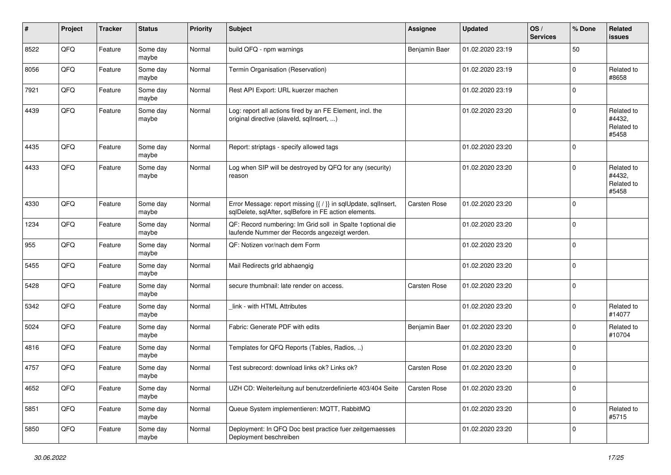| #    | Project | <b>Tracker</b> | <b>Status</b>     | <b>Priority</b> | <b>Subject</b>                                                                                                          | <b>Assignee</b>     | <b>Updated</b>   | OS/<br><b>Services</b> | % Done      | Related<br>issues                           |
|------|---------|----------------|-------------------|-----------------|-------------------------------------------------------------------------------------------------------------------------|---------------------|------------------|------------------------|-------------|---------------------------------------------|
| 8522 | QFQ     | Feature        | Some day<br>maybe | Normal          | build QFQ - npm warnings                                                                                                | Benjamin Baer       | 01.02.2020 23:19 |                        | 50          |                                             |
| 8056 | QFQ     | Feature        | Some day<br>maybe | Normal          | Termin Organisation (Reservation)                                                                                       |                     | 01.02.2020 23:19 |                        | $\Omega$    | Related to<br>#8658                         |
| 7921 | QFQ     | Feature        | Some day<br>maybe | Normal          | Rest API Export: URL kuerzer machen                                                                                     |                     | 01.02.2020 23:19 |                        | 0           |                                             |
| 4439 | QFQ     | Feature        | Some day<br>maybe | Normal          | Log: report all actions fired by an FE Element, incl. the<br>original directive (slaveld, sqllnsert, )                  |                     | 01.02.2020 23:20 |                        | $\Omega$    | Related to<br>#4432,<br>Related to<br>#5458 |
| 4435 | QFQ     | Feature        | Some day<br>maybe | Normal          | Report: striptags - specify allowed tags                                                                                |                     | 01.02.2020 23:20 |                        | $\Omega$    |                                             |
| 4433 | QFQ     | Feature        | Some day<br>maybe | Normal          | Log when SIP will be destroyed by QFQ for any (security)<br>reason                                                      |                     | 01.02.2020 23:20 |                        | $\Omega$    | Related to<br>#4432,<br>Related to<br>#5458 |
| 4330 | QFQ     | Feature        | Some day<br>maybe | Normal          | Error Message: report missing {{ / }} in sqlUpdate, sqlInsert,<br>sqlDelete, sqlAfter, sqlBefore in FE action elements. | <b>Carsten Rose</b> | 01.02.2020 23:20 |                        | 0           |                                             |
| 1234 | QFQ     | Feature        | Some day<br>maybe | Normal          | QF: Record numbering: Im Grid soll in Spalte 1optional die<br>laufende Nummer der Records angezeigt werden.             |                     | 01.02.2020 23:20 |                        | $\Omega$    |                                             |
| 955  | QFQ     | Feature        | Some day<br>maybe | Normal          | QF: Notizen vor/nach dem Form                                                                                           |                     | 01.02.2020 23:20 |                        | $\mathbf 0$ |                                             |
| 5455 | QFQ     | Feature        | Some day<br>maybe | Normal          | Mail Redirects grld abhaengig                                                                                           |                     | 01.02.2020 23:20 |                        | $\Omega$    |                                             |
| 5428 | QFQ     | Feature        | Some day<br>maybe | Normal          | secure thumbnail: late render on access.                                                                                | <b>Carsten Rose</b> | 01.02.2020 23:20 |                        | $\Omega$    |                                             |
| 5342 | QFQ     | Feature        | Some day<br>maybe | Normal          | link - with HTML Attributes                                                                                             |                     | 01.02.2020 23:20 |                        | $\Omega$    | Related to<br>#14077                        |
| 5024 | QFQ     | Feature        | Some day<br>maybe | Normal          | Fabric: Generate PDF with edits                                                                                         | Benjamin Baer       | 01.02.2020 23:20 |                        | 0           | Related to<br>#10704                        |
| 4816 | QFQ     | Feature        | Some day<br>maybe | Normal          | Templates for QFQ Reports (Tables, Radios, )                                                                            |                     | 01.02.2020 23:20 |                        | 0           |                                             |
| 4757 | QFQ     | Feature        | Some day<br>maybe | Normal          | Test subrecord: download links ok? Links ok?                                                                            | Carsten Rose        | 01.02.2020 23:20 |                        | $\Omega$    |                                             |
| 4652 | QFQ     | Feature        | Some day<br>maybe | Normal          | UZH CD: Weiterleitung auf benutzerdefinierte 403/404 Seite                                                              | Carsten Rose        | 01.02.2020 23:20 |                        | $\mathbf 0$ |                                             |
| 5851 | QFQ     | Feature        | Some day<br>maybe | Normal          | Queue System implementieren: MQTT, RabbitMQ                                                                             |                     | 01.02.2020 23:20 |                        | 0           | Related to<br>#5715                         |
| 5850 | QFQ     | Feature        | Some day<br>maybe | Normal          | Deployment: In QFQ Doc best practice fuer zeitgemaesses<br>Deployment beschreiben                                       |                     | 01.02.2020 23:20 |                        | 0           |                                             |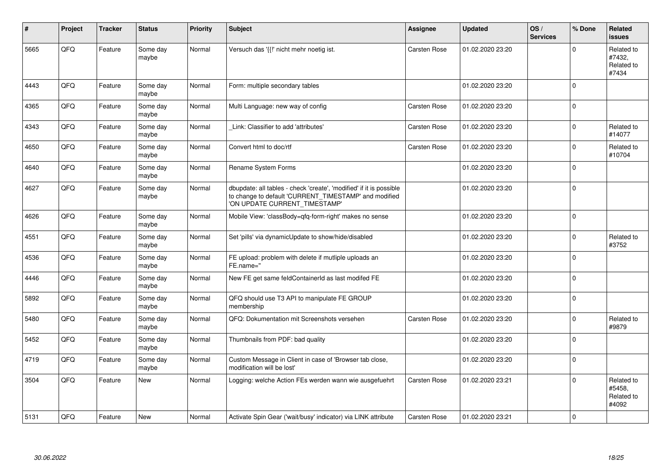| #    | Project    | <b>Tracker</b> | <b>Status</b>     | <b>Priority</b> | <b>Subject</b>                                                                                                                                                | <b>Assignee</b>     | <b>Updated</b>   | OS/<br><b>Services</b> | % Done      | Related<br><b>issues</b>                    |
|------|------------|----------------|-------------------|-----------------|---------------------------------------------------------------------------------------------------------------------------------------------------------------|---------------------|------------------|------------------------|-------------|---------------------------------------------|
| 5665 | QFQ        | Feature        | Some day<br>maybe | Normal          | Versuch das '{{!' nicht mehr noetig ist.                                                                                                                      | Carsten Rose        | 01.02.2020 23:20 |                        | U           | Related to<br>#7432,<br>Related to<br>#7434 |
| 4443 | <b>OFO</b> | Feature        | Some day<br>maybe | Normal          | Form: multiple secondary tables                                                                                                                               |                     | 01.02.2020 23:20 |                        | $\Omega$    |                                             |
| 4365 | QFQ        | Feature        | Some day<br>maybe | Normal          | Multi Language: new way of config                                                                                                                             | Carsten Rose        | 01.02.2020 23:20 |                        | $\Omega$    |                                             |
| 4343 | QFQ        | Feature        | Some day<br>maybe | Normal          | Link: Classifier to add 'attributes'                                                                                                                          | <b>Carsten Rose</b> | 01.02.2020 23:20 |                        | $\Omega$    | Related to<br>#14077                        |
| 4650 | QFQ        | Feature        | Some day<br>maybe | Normal          | Convert html to doc/rtf                                                                                                                                       | <b>Carsten Rose</b> | 01.02.2020 23:20 |                        | $\Omega$    | Related to<br>#10704                        |
| 4640 | QFQ        | Feature        | Some day<br>maybe | Normal          | Rename System Forms                                                                                                                                           |                     | 01.02.2020 23:20 |                        | $\Omega$    |                                             |
| 4627 | QFQ        | Feature        | Some day<br>maybe | Normal          | dbupdate: all tables - check 'create', 'modified' if it is possible<br>to change to default 'CURRENT_TIMESTAMP' and modified<br>'ON UPDATE CURRENT_TIMESTAMP' |                     | 01.02.2020 23:20 |                        | $\Omega$    |                                             |
| 4626 | QFQ        | Feature        | Some day<br>maybe | Normal          | Mobile View: 'classBody=qfq-form-right' makes no sense                                                                                                        |                     | 01.02.2020 23:20 |                        | $\mathbf 0$ |                                             |
| 4551 | QFQ        | Feature        | Some day<br>maybe | Normal          | Set 'pills' via dynamicUpdate to show/hide/disabled                                                                                                           |                     | 01.02.2020 23:20 |                        | 0           | Related to<br>#3752                         |
| 4536 | QFQ        | Feature        | Some day<br>maybe | Normal          | FE upload: problem with delete if mutliple uploads an<br>FE.name="                                                                                            |                     | 01.02.2020 23:20 |                        | $\Omega$    |                                             |
| 4446 | QFQ        | Feature        | Some day<br>maybe | Normal          | New FE get same feldContainerId as last modifed FE                                                                                                            |                     | 01.02.2020 23:20 |                        | $\mathbf 0$ |                                             |
| 5892 | QFQ        | Feature        | Some day<br>maybe | Normal          | QFQ should use T3 API to manipulate FE GROUP<br>membership                                                                                                    |                     | 01.02.2020 23:20 |                        | $\Omega$    |                                             |
| 5480 | QFQ        | Feature        | Some day<br>maybe | Normal          | QFQ: Dokumentation mit Screenshots versehen                                                                                                                   | <b>Carsten Rose</b> | 01.02.2020 23:20 |                        | $\Omega$    | Related to<br>#9879                         |
| 5452 | QFQ        | Feature        | Some day<br>maybe | Normal          | Thumbnails from PDF: bad quality                                                                                                                              |                     | 01.02.2020 23:20 |                        | $\Omega$    |                                             |
| 4719 | QFQ        | Feature        | Some day<br>maybe | Normal          | Custom Message in Client in case of 'Browser tab close,<br>modification will be lost'                                                                         |                     | 01.02.2020 23:20 |                        | $\Omega$    |                                             |
| 3504 | QFQ        | Feature        | <b>New</b>        | Normal          | Logging: welche Action FEs werden wann wie ausgefuehrt                                                                                                        | <b>Carsten Rose</b> | 01.02.2020 23:21 |                        | $\Omega$    | Related to<br>#5458,<br>Related to<br>#4092 |
| 5131 | QFQ        | Feature        | <b>New</b>        | Normal          | Activate Spin Gear ('wait/busy' indicator) via LINK attribute                                                                                                 | <b>Carsten Rose</b> | 01.02.2020 23:21 |                        | $\Omega$    |                                             |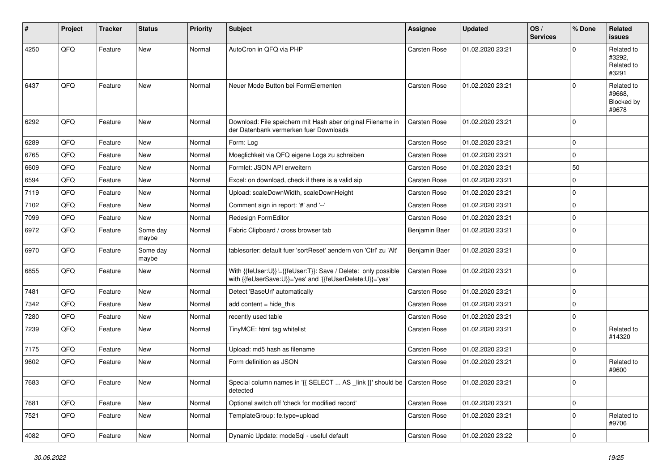| #    | Project | <b>Tracker</b> | <b>Status</b>     | <b>Priority</b> | <b>Subject</b>                                                                                                             | <b>Assignee</b>     | <b>Updated</b>   | OS/<br><b>Services</b> | % Done      | Related<br>issues                           |
|------|---------|----------------|-------------------|-----------------|----------------------------------------------------------------------------------------------------------------------------|---------------------|------------------|------------------------|-------------|---------------------------------------------|
| 4250 | QFQ     | Feature        | <b>New</b>        | Normal          | AutoCron in QFQ via PHP                                                                                                    | <b>Carsten Rose</b> | 01.02.2020 23:21 |                        | U           | Related to<br>#3292,<br>Related to<br>#3291 |
| 6437 | QFQ     | Feature        | <b>New</b>        | Normal          | Neuer Mode Button bei FormElementen                                                                                        | <b>Carsten Rose</b> | 01.02.2020 23:21 |                        | $\Omega$    | Related to<br>#9668,<br>Blocked by<br>#9678 |
| 6292 | QFQ     | Feature        | <b>New</b>        | Normal          | Download: File speichern mit Hash aber original Filename in<br>der Datenbank vermerken fuer Downloads                      | <b>Carsten Rose</b> | 01.02.2020 23:21 |                        | $\Omega$    |                                             |
| 6289 | QFQ     | Feature        | <b>New</b>        | Normal          | Form: Log                                                                                                                  | Carsten Rose        | 01.02.2020 23:21 |                        | $\Omega$    |                                             |
| 6765 | QFQ     | Feature        | <b>New</b>        | Normal          | Moeglichkeit via QFQ eigene Logs zu schreiben                                                                              | <b>Carsten Rose</b> | 01.02.2020 23:21 |                        | $\mathbf 0$ |                                             |
| 6609 | QFQ     | Feature        | New               | Normal          | Formlet: JSON API erweitern                                                                                                | <b>Carsten Rose</b> | 01.02.2020 23:21 |                        | 50          |                                             |
| 6594 | QFQ     | Feature        | <b>New</b>        | Normal          | Excel: on download, check if there is a valid sip                                                                          | <b>Carsten Rose</b> | 01.02.2020 23:21 |                        | 0           |                                             |
| 7119 | QFQ     | Feature        | <b>New</b>        | Normal          | Upload: scaleDownWidth, scaleDownHeight                                                                                    | <b>Carsten Rose</b> | 01.02.2020 23:21 |                        | 0           |                                             |
| 7102 | QFQ     | Feature        | New               | Normal          | Comment sign in report: '#' and '--'                                                                                       | <b>Carsten Rose</b> | 01.02.2020 23:21 |                        | 0           |                                             |
| 7099 | QFQ     | Feature        | <b>New</b>        | Normal          | Redesign FormEditor                                                                                                        | <b>Carsten Rose</b> | 01.02.2020 23:21 |                        | 0           |                                             |
| 6972 | QFQ     | Feature        | Some day<br>maybe | Normal          | Fabric Clipboard / cross browser tab                                                                                       | Benjamin Baer       | 01.02.2020 23:21 |                        | $\mathbf 0$ |                                             |
| 6970 | QFQ     | Feature        | Some day<br>maybe | Normal          | tablesorter: default fuer 'sortReset' aendern von 'Ctrl' zu 'Alt'                                                          | Benjamin Baer       | 01.02.2020 23:21 |                        | 0           |                                             |
| 6855 | QFQ     | Feature        | <b>New</b>        | Normal          | With {{feUser:U}}!={{feUser:T}}: Save / Delete: only possible<br>with {{feUserSave:U}}='yes' and '{{feUserDelete:U}}='yes' | <b>Carsten Rose</b> | 01.02.2020 23:21 |                        | $\mathbf 0$ |                                             |
| 7481 | QFQ     | Feature        | <b>New</b>        | Normal          | Detect 'BaseUrl' automatically                                                                                             | <b>Carsten Rose</b> | 01.02.2020 23:21 |                        | 0           |                                             |
| 7342 | QFQ     | Feature        | <b>New</b>        | Normal          | add content $=$ hide this                                                                                                  | <b>Carsten Rose</b> | 01.02.2020 23:21 |                        | $\Omega$    |                                             |
| 7280 | QFQ     | Feature        | New               | Normal          | recently used table                                                                                                        | <b>Carsten Rose</b> | 01.02.2020 23:21 |                        | $\mathbf 0$ |                                             |
| 7239 | QFQ     | Feature        | <b>New</b>        | Normal          | TinyMCE: html tag whitelist                                                                                                | <b>Carsten Rose</b> | 01.02.2020 23:21 |                        | $\Omega$    | Related to<br>#14320                        |
| 7175 | QFQ     | Feature        | New               | Normal          | Upload: md5 hash as filename                                                                                               | Carsten Rose        | 01.02.2020 23:21 |                        | 0           |                                             |
| 9602 | QFQ     | Feature        | <b>New</b>        | Normal          | Form definition as JSON                                                                                                    | <b>Carsten Rose</b> | 01.02.2020 23:21 |                        | $\mathbf 0$ | Related to<br>#9600                         |
| 7683 | QFQ     | Feature        | New               | Normal          | Special column names in '{{ SELECT  AS _link }}' should be   Carsten Rose<br>detected                                      |                     | 01.02.2020 23:21 |                        | 0           |                                             |
| 7681 | QFQ     | Feature        | New               | Normal          | Optional switch off 'check for modified record'                                                                            | Carsten Rose        | 01.02.2020 23:21 |                        | $\mathbf 0$ |                                             |
| 7521 | QFQ     | Feature        | New               | Normal          | TemplateGroup: fe.type=upload                                                                                              | Carsten Rose        | 01.02.2020 23:21 |                        | 0           | Related to<br>#9706                         |
| 4082 | QFQ     | Feature        | New               | Normal          | Dynamic Update: modeSql - useful default                                                                                   | Carsten Rose        | 01.02.2020 23:22 |                        | $\mathbf 0$ |                                             |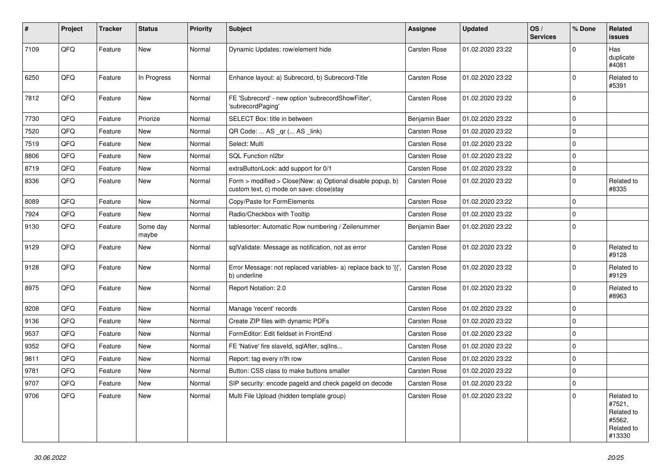| $\vert$ # | Project | <b>Tracker</b> | <b>Status</b>     | <b>Priority</b> | <b>Subject</b>                                                                                         | <b>Assignee</b>     | <b>Updated</b>   | OS/<br><b>Services</b> | % Done       | Related<br>issues                                                    |
|-----------|---------|----------------|-------------------|-----------------|--------------------------------------------------------------------------------------------------------|---------------------|------------------|------------------------|--------------|----------------------------------------------------------------------|
| 7109      | QFQ     | Feature        | <b>New</b>        | Normal          | Dynamic Updates: row/element hide                                                                      | <b>Carsten Rose</b> | 01.02.2020 23:22 |                        | <sup>0</sup> | Has<br>duplicate<br>#4081                                            |
| 6250      | QFQ     | Feature        | In Progress       | Normal          | Enhance layout: a) Subrecord, b) Subrecord-Title                                                       | <b>Carsten Rose</b> | 01.02.2020 23:22 |                        | $\Omega$     | Related to<br>#5391                                                  |
| 7812      | QFQ     | Feature        | <b>New</b>        | Normal          | FE 'Subrecord' - new option 'subrecordShowFilter',<br>'subrecordPaging'                                | <b>Carsten Rose</b> | 01.02.2020 23:22 |                        | $\mathbf 0$  |                                                                      |
| 7730      | QFQ     | Feature        | Priorize          | Normal          | SELECT Box: title in between                                                                           | Benjamin Baer       | 01.02.2020 23:22 |                        | 0            |                                                                      |
| 7520      | QFQ     | Feature        | <b>New</b>        | Normal          | QR Code:  AS _qr ( AS _link)                                                                           | <b>Carsten Rose</b> | 01.02.2020 23:22 |                        | 0            |                                                                      |
| 7519      | QFQ     | Feature        | New               | Normal          | Select: Multi                                                                                          | <b>Carsten Rose</b> | 01.02.2020 23:22 |                        | $\Omega$     |                                                                      |
| 8806      | QFQ     | Feature        | <b>New</b>        | Normal          | SQL Function nl2br                                                                                     | Carsten Rose        | 01.02.2020 23:22 |                        | $\mathbf 0$  |                                                                      |
| 8719      | QFQ     | Feature        | New               | Normal          | extraButtonLock: add support for 0/1                                                                   | <b>Carsten Rose</b> | 01.02.2020 23:22 |                        | $\mathbf 0$  |                                                                      |
| 8336      | QFQ     | Feature        | New               | Normal          | Form > modified > Close New: a) Optional disable popup, b)<br>custom text, c) mode on save: close stay | <b>Carsten Rose</b> | 01.02.2020 23:22 |                        | 0            | Related to<br>#8335                                                  |
| 8089      | QFQ     | Feature        | <b>New</b>        | Normal          | Copy/Paste for FormElements                                                                            | <b>Carsten Rose</b> | 01.02.2020 23:22 |                        | $\mathbf 0$  |                                                                      |
| 7924      | QFQ     | Feature        | New               | Normal          | Radio/Checkbox with Tooltip                                                                            | <b>Carsten Rose</b> | 01.02.2020 23:22 |                        | 0            |                                                                      |
| 9130      | QFQ     | Feature        | Some day<br>maybe | Normal          | tablesorter: Automatic Row numbering / Zeilenummer                                                     | Benjamin Baer       | 01.02.2020 23:22 |                        | $\Omega$     |                                                                      |
| 9129      | QFQ     | Feature        | <b>New</b>        | Normal          | sqlValidate: Message as notification, not as error                                                     | Carsten Rose        | 01.02.2020 23:22 |                        | $\Omega$     | Related to<br>#9128                                                  |
| 9128      | QFQ     | Feature        | <b>New</b>        | Normal          | Error Message: not replaced variables- a) replace back to '{',<br>b) underline                         | <b>Carsten Rose</b> | 01.02.2020 23:22 |                        | $\Omega$     | Related to<br>#9129                                                  |
| 8975      | QFQ     | Feature        | <b>New</b>        | Normal          | Report Notation: 2.0                                                                                   | <b>Carsten Rose</b> | 01.02.2020 23:22 |                        | $\Omega$     | Related to<br>#8963                                                  |
| 9208      | QFQ     | Feature        | <b>New</b>        | Normal          | Manage 'recent' records                                                                                | <b>Carsten Rose</b> | 01.02.2020 23:22 |                        | 0            |                                                                      |
| 9136      | QFQ     | Feature        | New               | Normal          | Create ZIP files with dynamic PDFs                                                                     | <b>Carsten Rose</b> | 01.02.2020 23:22 |                        | $\mathbf 0$  |                                                                      |
| 9537      | QFQ     | Feature        | <b>New</b>        | Normal          | FormEditor: Edit fieldset in FrontEnd                                                                  | <b>Carsten Rose</b> | 01.02.2020 23:22 |                        | 0            |                                                                      |
| 9352      | QFQ     | Feature        | <b>New</b>        | Normal          | FE 'Native' fire slaveld, sqlAfter, sqlIns                                                             | Carsten Rose        | 01.02.2020 23:22 |                        | 0            |                                                                      |
| 9811      | QFQ     | Feature        | New               | Normal          | Report: tag every n'th row                                                                             | <b>Carsten Rose</b> | 01.02.2020 23:22 |                        | 0            |                                                                      |
| 9781      | QFQ     | Feature        | New               | Normal          | Button: CSS class to make buttons smaller                                                              | Carsten Rose        | 01.02.2020 23:22 |                        | $\mathbf 0$  |                                                                      |
| 9707      | QFQ     | Feature        | New               | Normal          | SIP security: encode pageId and check pageId on decode                                                 | Carsten Rose        | 01.02.2020 23:22 |                        | 0            |                                                                      |
| 9706      | QFQ     | Feature        | New               | Normal          | Multi File Upload (hidden template group)                                                              | Carsten Rose        | 01.02.2020 23:22 |                        | $\Omega$     | Related to<br>#7521,<br>Related to<br>#5562,<br>Related to<br>#13330 |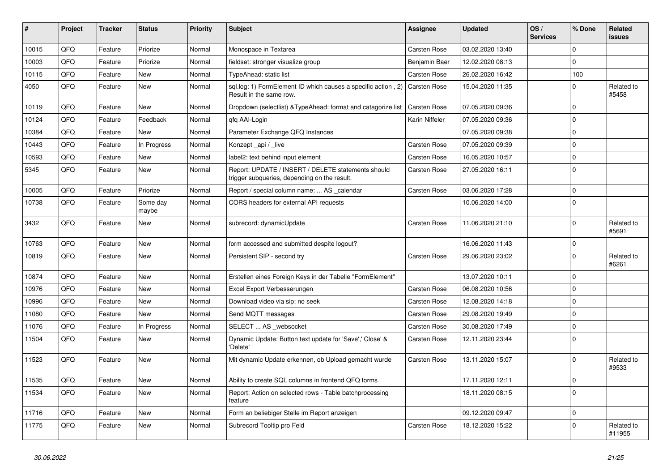| #     | Project | <b>Tracker</b> | <b>Status</b>     | <b>Priority</b> | <b>Subject</b>                                                                                        | <b>Assignee</b>     | <b>Updated</b>   | OS/<br><b>Services</b> | % Done       | Related<br>issues    |
|-------|---------|----------------|-------------------|-----------------|-------------------------------------------------------------------------------------------------------|---------------------|------------------|------------------------|--------------|----------------------|
| 10015 | QFQ     | Feature        | Priorize          | Normal          | Monospace in Textarea                                                                                 | Carsten Rose        | 03.02.2020 13:40 |                        | $\mathbf{0}$ |                      |
| 10003 | QFQ     | Feature        | Priorize          | Normal          | fieldset: stronger visualize group                                                                    | Benjamin Baer       | 12.02.2020 08:13 |                        | $\mathbf{0}$ |                      |
| 10115 | QFQ     | Feature        | <b>New</b>        | Normal          | TypeAhead: static list                                                                                | <b>Carsten Rose</b> | 26.02.2020 16:42 |                        | 100          |                      |
| 4050  | QFQ     | Feature        | <b>New</b>        | Normal          | sql.log: 1) FormElement ID which causes a specific action, 2) Carsten Rose<br>Result in the same row. |                     | 15.04.2020 11:35 |                        | $\Omega$     | Related to<br>#5458  |
| 10119 | QFQ     | Feature        | <b>New</b>        | Normal          | Dropdown (selectlist) & TypeAhead: format and catagorize list                                         | <b>Carsten Rose</b> | 07.05.2020 09:36 |                        | $\mathbf 0$  |                      |
| 10124 | QFQ     | Feature        | Feedback          | Normal          | gfg AAI-Login                                                                                         | Karin Niffeler      | 07.05.2020 09:36 |                        | $\mathbf 0$  |                      |
| 10384 | QFQ     | Feature        | New               | Normal          | Parameter Exchange QFQ Instances                                                                      |                     | 07.05.2020 09:38 |                        | $\mathbf 0$  |                      |
| 10443 | QFQ     | Feature        | In Progress       | Normal          | Konzept_api / _live                                                                                   | <b>Carsten Rose</b> | 07.05.2020 09:39 |                        | $\mathbf 0$  |                      |
| 10593 | QFQ     | Feature        | <b>New</b>        | Normal          | label2: text behind input element                                                                     | Carsten Rose        | 16.05.2020 10:57 |                        | $\mathbf 0$  |                      |
| 5345  | QFQ     | Feature        | <b>New</b>        | Normal          | Report: UPDATE / INSERT / DELETE statements should<br>trigger subqueries, depending on the result.    | Carsten Rose        | 27.05.2020 16:11 |                        | $\Omega$     |                      |
| 10005 | QFQ     | Feature        | Priorize          | Normal          | Report / special column name:  AS _calendar                                                           | <b>Carsten Rose</b> | 03.06.2020 17:28 |                        | $\mathbf 0$  |                      |
| 10738 | QFQ     | Feature        | Some day<br>maybe | Normal          | CORS headers for external API requests                                                                |                     | 10.06.2020 14:00 |                        | $\Omega$     |                      |
| 3432  | QFQ     | Feature        | New               | Normal          | subrecord: dynamicUpdate                                                                              | Carsten Rose        | 11.06.2020 21:10 |                        | $\mathbf{0}$ | Related to<br>#5691  |
| 10763 | QFQ     | Feature        | <b>New</b>        | Normal          | form accessed and submitted despite logout?                                                           |                     | 16.06.2020 11:43 |                        | $\Omega$     |                      |
| 10819 | QFQ     | Feature        | <b>New</b>        | Normal          | Persistent SIP - second try                                                                           | Carsten Rose        | 29.06.2020 23:02 |                        | $\mathbf 0$  | Related to<br>#6261  |
| 10874 | QFQ     | Feature        | <b>New</b>        | Normal          | Erstellen eines Foreign Keys in der Tabelle "FormElement"                                             |                     | 13.07.2020 10:11 |                        | $\mathbf{0}$ |                      |
| 10976 | QFQ     | Feature        | <b>New</b>        | Normal          | Excel Export Verbesserungen                                                                           | Carsten Rose        | 06.08.2020 10:56 |                        | $\mathbf 0$  |                      |
| 10996 | QFQ     | Feature        | <b>New</b>        | Normal          | Download video via sip: no seek                                                                       | Carsten Rose        | 12.08.2020 14:18 |                        | $\mathbf{0}$ |                      |
| 11080 | QFQ     | Feature        | <b>New</b>        | Normal          | Send MQTT messages                                                                                    | <b>Carsten Rose</b> | 29.08.2020 19:49 |                        | $\mathbf 0$  |                      |
| 11076 | QFQ     | Feature        | In Progress       | Normal          | SELECT  AS _websocket                                                                                 | <b>Carsten Rose</b> | 30.08.2020 17:49 |                        | $\Omega$     |                      |
| 11504 | QFQ     | Feature        | <b>New</b>        | Normal          | Dynamic Update: Button text update for 'Save',' Close' &<br>'Delete'                                  | Carsten Rose        | 12.11.2020 23:44 |                        | $\Omega$     |                      |
| 11523 | QFQ     | Feature        | <b>New</b>        | Normal          | Mit dynamic Update erkennen, ob Upload gemacht wurde                                                  | Carsten Rose        | 13.11.2020 15:07 |                        | $\mathbf{0}$ | Related to<br>#9533  |
| 11535 | QFQ     | Feature        | <b>New</b>        | Normal          | Ability to create SQL columns in frontend QFQ forms                                                   |                     | 17.11.2020 12:11 |                        | $\mathbf 0$  |                      |
| 11534 | QFQ     | Feature        | <b>New</b>        | Normal          | Report: Action on selected rows - Table batchprocessing<br>feature                                    |                     | 18.11.2020 08:15 |                        | $\mathbf 0$  |                      |
| 11716 | QFQ     | Feature        | <b>New</b>        | Normal          | Form an beliebiger Stelle im Report anzeigen                                                          |                     | 09.12.2020 09:47 |                        | $\mathbf{0}$ |                      |
| 11775 | QFQ     | Feature        | <b>New</b>        | Normal          | Subrecord Tooltip pro Feld                                                                            | Carsten Rose        | 18.12.2020 15:22 |                        | $\Omega$     | Related to<br>#11955 |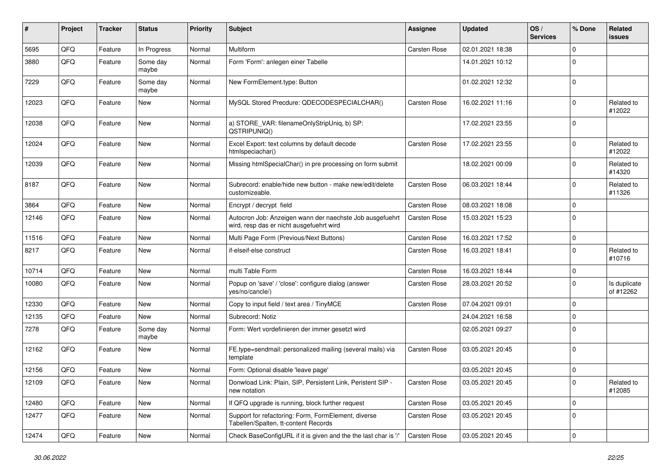| ∦     | Project        | <b>Tracker</b> | <b>Status</b>     | <b>Priority</b> | Subject                                                                                              | <b>Assignee</b>     | <b>Updated</b>   | OS/<br><b>Services</b> | % Done         | Related<br>issues         |
|-------|----------------|----------------|-------------------|-----------------|------------------------------------------------------------------------------------------------------|---------------------|------------------|------------------------|----------------|---------------------------|
| 5695  | QFQ            | Feature        | In Progress       | Normal          | Multiform                                                                                            | <b>Carsten Rose</b> | 02.01.2021 18:38 |                        | $\Omega$       |                           |
| 3880  | QFQ            | Feature        | Some day<br>maybe | Normal          | Form 'Form': anlegen einer Tabelle                                                                   |                     | 14.01.2021 10:12 |                        | $\Omega$       |                           |
| 7229  | QFQ            | Feature        | Some day<br>maybe | Normal          | New FormElement.type: Button                                                                         |                     | 01.02.2021 12:32 |                        | $\overline{0}$ |                           |
| 12023 | QFQ            | Feature        | New               | Normal          | MySQL Stored Precdure: QDECODESPECIALCHAR()                                                          | <b>Carsten Rose</b> | 16.02.2021 11:16 |                        | $\overline{0}$ | Related to<br>#12022      |
| 12038 | QFQ            | Feature        | New               | Normal          | a) STORE_VAR: filenameOnlyStripUniq, b) SP:<br>QSTRIPUNIQ()                                          |                     | 17.02.2021 23:55 |                        | $\overline{0}$ |                           |
| 12024 | QFQ            | Feature        | New               | Normal          | Excel Export: text columns by default decode<br>htmlspeciachar()                                     | <b>Carsten Rose</b> | 17.02.2021 23:55 |                        | $\overline{0}$ | Related to<br>#12022      |
| 12039 | QFQ            | Feature        | New               | Normal          | Missing htmlSpecialChar() in pre processing on form submit                                           |                     | 18.02.2021 00:09 |                        | $\overline{0}$ | Related to<br>#14320      |
| 8187  | QFQ            | Feature        | New               | Normal          | Subrecord: enable/hide new button - make new/edit/delete<br>customizeable.                           | <b>Carsten Rose</b> | 06.03.2021 18:44 |                        | $\overline{0}$ | Related to<br>#11326      |
| 3864  | QFQ            | Feature        | <b>New</b>        | Normal          | Encrypt / decrypt field                                                                              | Carsten Rose        | 08.03.2021 18:08 |                        | $\mathbf 0$    |                           |
| 12146 | QFQ            | Feature        | New               | Normal          | Autocron Job: Anzeigen wann der naechste Job ausgefuehrt<br>wird, resp das er nicht ausgefuehrt wird | Carsten Rose        | 15.03.2021 15:23 |                        | $\overline{0}$ |                           |
| 11516 | QFQ            | Feature        | New               | Normal          | Multi Page Form (Previous/Next Buttons)                                                              | <b>Carsten Rose</b> | 16.03.2021 17:52 |                        | $\mathbf 0$    |                           |
| 8217  | QFQ            | Feature        | New               | Normal          | if-elseif-else construct                                                                             | Carsten Rose        | 16.03.2021 18:41 |                        | $\Omega$       | Related to<br>#10716      |
| 10714 | QFQ            | Feature        | <b>New</b>        | Normal          | multi Table Form                                                                                     | <b>Carsten Rose</b> | 16.03.2021 18:44 |                        | $\mathbf 0$    |                           |
| 10080 | QFQ            | Feature        | New               | Normal          | Popup on 'save' / 'close': configure dialog (answer<br>yes/no/cancle/)                               | Carsten Rose        | 28.03.2021 20:52 |                        | $\Omega$       | Is duplicate<br>of #12262 |
| 12330 | QFQ            | Feature        | New               | Normal          | Copy to input field / text area / TinyMCE                                                            | <b>Carsten Rose</b> | 07.04.2021 09:01 |                        | $\overline{0}$ |                           |
| 12135 | QFQ            | Feature        | <b>New</b>        | Normal          | Subrecord: Notiz                                                                                     |                     | 24.04.2021 16:58 |                        | $\mathbf 0$    |                           |
| 7278  | QFQ            | Feature        | Some day<br>maybe | Normal          | Form: Wert vordefinieren der immer gesetzt wird                                                      |                     | 02.05.2021 09:27 |                        | $\overline{0}$ |                           |
| 12162 | QFQ            | Feature        | New               | Normal          | FE.type=sendmail: personalized mailing (several mails) via<br>template                               | <b>Carsten Rose</b> | 03.05.2021 20:45 |                        | $\overline{0}$ |                           |
| 12156 | QFQ            | Feature        | New               | Normal          | Form: Optional disable 'leave page'                                                                  |                     | 03.05.2021 20:45 |                        | $\overline{0}$ |                           |
| 12109 | QFQ            | Feature        | New               | Normal          | Donwload Link: Plain, SIP, Persistent Link, Peristent SIP -<br>new notation                          | Carsten Rose        | 03.05.2021 20:45 |                        | 0              | Related to<br>#12085      |
| 12480 | QFQ            | Feature        | New               | Normal          | If QFQ upgrade is running, block further request                                                     | Carsten Rose        | 03.05.2021 20:45 |                        | $\overline{0}$ |                           |
| 12477 | QFQ            | Feature        | New               | Normal          | Support for refactoring: Form, FormElement, diverse<br>Tabellen/Spalten, tt-content Records          | Carsten Rose        | 03.05.2021 20:45 |                        | $\overline{0}$ |                           |
| 12474 | $\mathsf{QFQ}$ | Feature        | New               | Normal          | Check BaseConfigURL if it is given and the the last char is '/'                                      | Carsten Rose        | 03.05.2021 20:45 |                        | $\overline{0}$ |                           |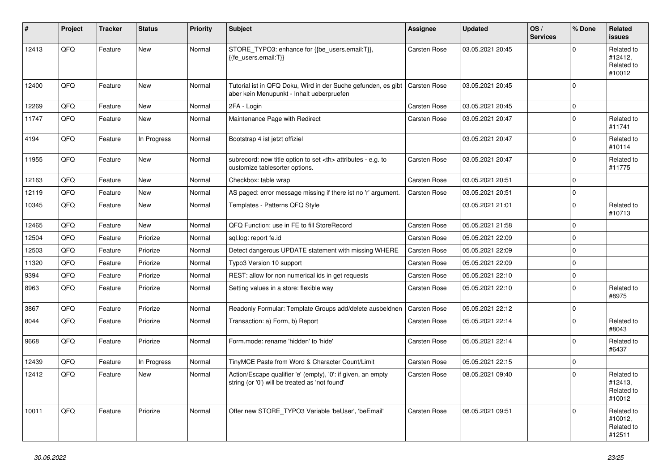| ∦     | Project | <b>Tracker</b> | <b>Status</b> | <b>Priority</b> | <b>Subject</b>                                                                                                 | <b>Assignee</b>                                        | <b>Updated</b>   | OS/<br><b>Services</b> | % Done         | Related<br><b>issues</b>                      |                      |
|-------|---------|----------------|---------------|-----------------|----------------------------------------------------------------------------------------------------------------|--------------------------------------------------------|------------------|------------------------|----------------|-----------------------------------------------|----------------------|
| 12413 | QFQ     | Feature        | <b>New</b>    | Normal          | STORE_TYPO3: enhance for {{be_users.email:T}},<br>{{fe users.email:T}}                                         | <b>Carsten Rose</b>                                    | 03.05.2021 20:45 |                        | $\overline{0}$ | Related to<br>#12412,<br>Related to<br>#10012 |                      |
| 12400 | QFQ     | Feature        | New           | Normal          | Tutorial ist in QFQ Doku, Wird in der Suche gefunden, es gibt<br>aber kein Menupunkt - Inhalt ueberpruefen     | <b>Carsten Rose</b>                                    | 03.05.2021 20:45 |                        | $\Omega$       |                                               |                      |
| 12269 | QFQ     | Feature        | <b>New</b>    | Normal          | 2FA - Login                                                                                                    | Carsten Rose                                           | 03.05.2021 20:45 |                        | $\overline{0}$ |                                               |                      |
| 11747 | QFQ     | Feature        | <b>New</b>    | Normal          | Maintenance Page with Redirect                                                                                 | Carsten Rose                                           | 03.05.2021 20:47 |                        | $\overline{0}$ | Related to<br>#11741                          |                      |
| 4194  | QFQ     | Feature        | In Progress   | Normal          | Bootstrap 4 ist jetzt offiziel                                                                                 |                                                        | 03.05.2021 20:47 |                        | $\Omega$       | Related to<br>#10114                          |                      |
| 11955 | QFQ     | Feature        | <b>New</b>    | Normal          | subrecord: new title option to set <th> attributes - e.g. to<br/>customize tablesorter options.</th>           | attributes - e.g. to<br>customize tablesorter options. | Carsten Rose     | 03.05.2021 20:47       |                | $\Omega$                                      | Related to<br>#11775 |
| 12163 | QFQ     | Feature        | <b>New</b>    | Normal          | Checkbox: table wrap                                                                                           | <b>Carsten Rose</b>                                    | 03.05.2021 20:51 |                        | $\overline{0}$ |                                               |                      |
| 12119 | QFQ     | Feature        | <b>New</b>    | Normal          | AS paged: error message missing if there ist no 'r' argument.                                                  | <b>Carsten Rose</b>                                    | 03.05.2021 20:51 |                        | $\overline{0}$ |                                               |                      |
| 10345 | QFQ     | Feature        | <b>New</b>    | Normal          | Templates - Patterns QFQ Style                                                                                 |                                                        | 03.05.2021 21:01 |                        | $\overline{0}$ | Related to<br>#10713                          |                      |
| 12465 | QFQ     | Feature        | <b>New</b>    | Normal          | QFQ Function: use in FE to fill StoreRecord                                                                    | <b>Carsten Rose</b>                                    | 05.05.2021 21:58 |                        | $\overline{0}$ |                                               |                      |
| 12504 | QFQ     | Feature        | Priorize      | Normal          | sgl.log: report fe.id                                                                                          | <b>Carsten Rose</b>                                    | 05.05.2021 22:09 |                        | $\overline{0}$ |                                               |                      |
| 12503 | QFQ     | Feature        | Priorize      | Normal          | Detect dangerous UPDATE statement with missing WHERE                                                           | <b>Carsten Rose</b>                                    | 05.05.2021 22:09 |                        | $\overline{0}$ |                                               |                      |
| 11320 | QFQ     | Feature        | Priorize      | Normal          | Typo3 Version 10 support                                                                                       | Carsten Rose                                           | 05.05.2021 22:09 |                        | $\overline{0}$ |                                               |                      |
| 9394  | QFQ     | Feature        | Priorize      | Normal          | REST: allow for non numerical ids in get requests                                                              | <b>Carsten Rose</b>                                    | 05.05.2021 22:10 |                        | $\overline{0}$ |                                               |                      |
| 8963  | QFQ     | Feature        | Priorize      | Normal          | Setting values in a store: flexible way                                                                        | <b>Carsten Rose</b>                                    | 05.05.2021 22:10 |                        | $\overline{0}$ | Related to<br>#8975                           |                      |
| 3867  | QFQ     | Feature        | Priorize      | Normal          | Readonly Formular: Template Groups add/delete ausbeldnen                                                       | <b>Carsten Rose</b>                                    | 05.05.2021 22:12 |                        | $\overline{0}$ |                                               |                      |
| 8044  | QFQ     | Feature        | Priorize      | Normal          | Transaction: a) Form, b) Report                                                                                | <b>Carsten Rose</b>                                    | 05.05.2021 22:14 |                        | $\overline{0}$ | Related to<br>#8043                           |                      |
| 9668  | QFQ     | Feature        | Priorize      | Normal          | Form.mode: rename 'hidden' to 'hide'                                                                           | Carsten Rose                                           | 05.05.2021 22:14 |                        | $\Omega$       | Related to<br>#6437                           |                      |
| 12439 | QFQ     | Feature        | In Progress   | Normal          | TinyMCE Paste from Word & Character Count/Limit                                                                | <b>Carsten Rose</b>                                    | 05.05.2021 22:15 |                        | $\overline{0}$ |                                               |                      |
| 12412 | QFQ     | Feature        | New           | Normal          | Action/Escape qualifier 'e' (empty), '0': if given, an empty<br>string (or '0') will be treated as 'not found' | Carsten Rose                                           | 08.05.2021 09:40 |                        | $\Omega$       | Related to<br>#12413.<br>Related to<br>#10012 |                      |
| 10011 | QFQ     | Feature        | Priorize      | Normal          | Offer new STORE TYPO3 Variable 'beUser', 'beEmail'                                                             | <b>Carsten Rose</b>                                    | 08.05.2021 09:51 |                        | $\overline{0}$ | Related to<br>#10012,<br>Related to<br>#12511 |                      |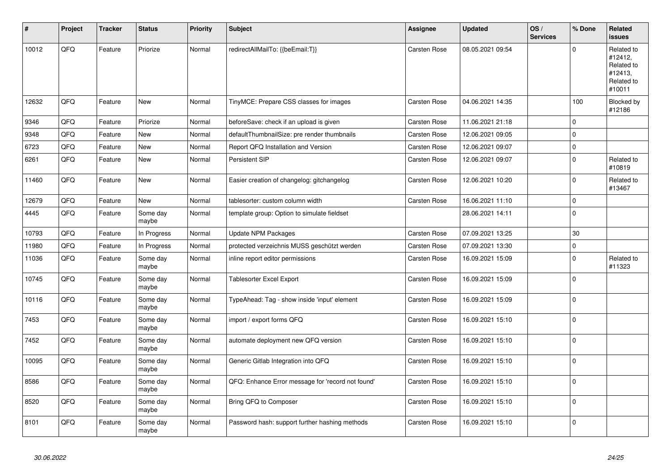| #     | <b>Project</b> | <b>Tracker</b> | <b>Status</b>     | <b>Priority</b> | <b>Subject</b>                                    | Assignee            | <b>Updated</b>   | OS/<br><b>Services</b> | % Done      | Related<br>issues                                                      |
|-------|----------------|----------------|-------------------|-----------------|---------------------------------------------------|---------------------|------------------|------------------------|-------------|------------------------------------------------------------------------|
| 10012 | QFQ            | Feature        | Priorize          | Normal          | redirectAllMailTo: {{beEmail:T}}                  | <b>Carsten Rose</b> | 08.05.2021 09:54 |                        | $\Omega$    | Related to<br>#12412,<br>Related to<br>#12413,<br>Related to<br>#10011 |
| 12632 | QFQ            | Feature        | <b>New</b>        | Normal          | TinyMCE: Prepare CSS classes for images           | <b>Carsten Rose</b> | 04.06.2021 14:35 |                        | 100         | Blocked by<br>#12186                                                   |
| 9346  | QFQ            | Feature        | Priorize          | Normal          | beforeSave: check if an upload is given           | Carsten Rose        | 11.06.2021 21:18 |                        | $\mathbf 0$ |                                                                        |
| 9348  | QFQ            | Feature        | <b>New</b>        | Normal          | defaultThumbnailSize: pre render thumbnails       | <b>Carsten Rose</b> | 12.06.2021 09:05 |                        | 0           |                                                                        |
| 6723  | QFQ            | Feature        | <b>New</b>        | Normal          | Report QFQ Installation and Version               | <b>Carsten Rose</b> | 12.06.2021 09:07 |                        | $\mathbf 0$ |                                                                        |
| 6261  | QFQ            | Feature        | <b>New</b>        | Normal          | Persistent SIP                                    | Carsten Rose        | 12.06.2021 09:07 |                        | $\Omega$    | Related to<br>#10819                                                   |
| 11460 | QFQ            | Feature        | <b>New</b>        | Normal          | Easier creation of changelog: gitchangelog        | Carsten Rose        | 12.06.2021 10:20 |                        | 0           | Related to<br>#13467                                                   |
| 12679 | QFQ            | Feature        | <b>New</b>        | Normal          | tablesorter: custom column width                  | <b>Carsten Rose</b> | 16.06.2021 11:10 |                        | $\mathbf 0$ |                                                                        |
| 4445  | QFQ            | Feature        | Some day<br>maybe | Normal          | template group: Option to simulate fieldset       |                     | 28.06.2021 14:11 |                        | $\Omega$    |                                                                        |
| 10793 | QFQ            | Feature        | In Progress       | Normal          | Update NPM Packages                               | Carsten Rose        | 07.09.2021 13:25 |                        | $30\,$      |                                                                        |
| 11980 | QFQ            | Feature        | In Progress       | Normal          | protected verzeichnis MUSS geschützt werden       | <b>Carsten Rose</b> | 07.09.2021 13:30 |                        | $\mathbf 0$ |                                                                        |
| 11036 | QFQ            | Feature        | Some day<br>maybe | Normal          | inline report editor permissions                  | <b>Carsten Rose</b> | 16.09.2021 15:09 |                        | $\mathbf 0$ | Related to<br>#11323                                                   |
| 10745 | QFQ            | Feature        | Some day<br>maybe | Normal          | <b>Tablesorter Excel Export</b>                   | <b>Carsten Rose</b> | 16.09.2021 15:09 |                        | $\Omega$    |                                                                        |
| 10116 | QFQ            | Feature        | Some day<br>maybe | Normal          | TypeAhead: Tag - show inside 'input' element      | Carsten Rose        | 16.09.2021 15:09 |                        | $\mathbf 0$ |                                                                        |
| 7453  | QFQ            | Feature        | Some day<br>maybe | Normal          | import / export forms QFQ                         | <b>Carsten Rose</b> | 16.09.2021 15:10 |                        | $\Omega$    |                                                                        |
| 7452  | QFQ            | Feature        | Some day<br>maybe | Normal          | automate deployment new QFQ version               | <b>Carsten Rose</b> | 16.09.2021 15:10 |                        | $\mathbf 0$ |                                                                        |
| 10095 | QFQ            | Feature        | Some day<br>maybe | Normal          | Generic Gitlab Integration into QFQ               | Carsten Rose        | 16.09.2021 15:10 |                        | $\Omega$    |                                                                        |
| 8586  | QFQ            | Feature        | Some day<br>maybe | Normal          | QFQ: Enhance Error message for 'record not found' | <b>Carsten Rose</b> | 16.09.2021 15:10 |                        | $\mathbf 0$ |                                                                        |
| 8520  | QFQ            | Feature        | Some day<br>maybe | Normal          | Bring QFQ to Composer                             | <b>Carsten Rose</b> | 16.09.2021 15:10 |                        | $\Omega$    |                                                                        |
| 8101  | QFQ            | Feature        | Some day<br>maybe | Normal          | Password hash: support further hashing methods    | Carsten Rose        | 16.09.2021 15:10 |                        | $\Omega$    |                                                                        |